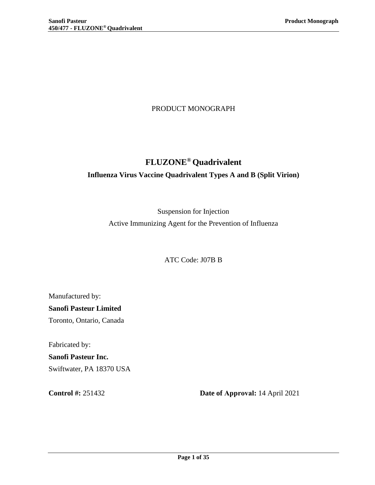## PRODUCT MONOGRAPH

# **FLUZONE® Quadrivalent Influenza Virus Vaccine Quadrivalent Types A and B (Split Virion)**

Suspension for Injection Active Immunizing Agent for the Prevention of Influenza

ATC Code: J07B B

Manufactured by: **Sanofi Pasteur Limited**  Toronto, Ontario, Canada

Fabricated by:

**Sanofi Pasteur Inc.**  Swiftwater, PA 18370 USA

**Control #:** 251432 **Date of Approval:** 14 April 2021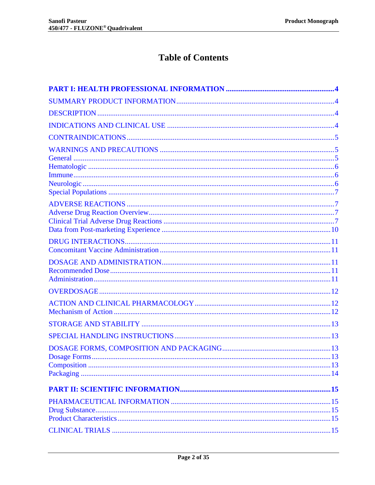# **Table of Contents**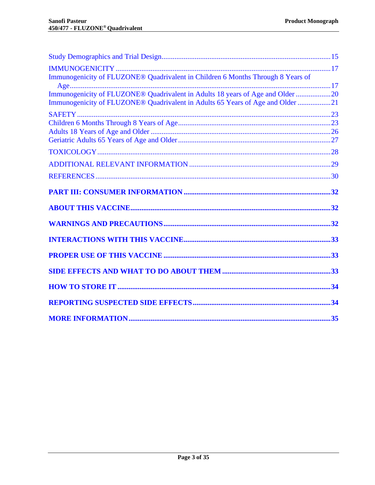| Immunogenicity of FLUZONE® Quadrivalent in Children 6 Months Through 8 Years of |  |
|---------------------------------------------------------------------------------|--|
|                                                                                 |  |
| Immunogenicity of FLUZONE® Quadrivalent in Adults 18 years of Age and Older 20  |  |
| Immunogenicity of FLUZONE® Quadrivalent in Adults 65 Years of Age and Older 21  |  |
|                                                                                 |  |
|                                                                                 |  |
|                                                                                 |  |
|                                                                                 |  |
|                                                                                 |  |
|                                                                                 |  |
|                                                                                 |  |
|                                                                                 |  |
|                                                                                 |  |
|                                                                                 |  |
|                                                                                 |  |
|                                                                                 |  |
|                                                                                 |  |
|                                                                                 |  |
|                                                                                 |  |
|                                                                                 |  |
|                                                                                 |  |
|                                                                                 |  |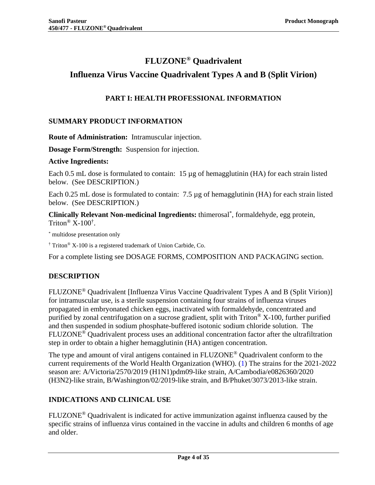# **FLUZONE® Quadrivalent**

## <span id="page-3-0"></span>**Influenza Virus Vaccine Quadrivalent Types A and B (Split Virion)**

## **PART I: HEALTH PROFESSIONAL INFORMATION**

## <span id="page-3-1"></span>**SUMMARY PRODUCT INFORMATION**

**Route of Administration:** Intramuscular injection.

**Dosage Form/Strength:** Suspension for injection.

### **Active Ingredients:**

Each 0.5 mL dose is formulated to contain: 15 µg of hemagglutinin (HA) for each strain listed below. (See [DESCRIPTION.](#page-3-2))

Each 0.25 mL dose is formulated to contain: 7.5 µg of hemagglutinin (HA) for each strain listed below. (See [DESCRIPTION.](#page-3-2))

**Clinically Relevant Non-medicinal Ingredients:** thimerosal\* , formaldehyde, egg protein, Triton®  $X-100^{\dagger}$ .

\* multidose presentation only

† Triton® X-100 is a registered trademark of Union Carbide, Co.

<span id="page-3-2"></span>For a complete listing see [DOSAGE FORMS, COMPOSITION AND PACKAGING](#page-12-2) section.

## **DESCRIPTION**

FLUZONE® Quadrivalent [Influenza Virus Vaccine Quadrivalent Types A and B (Split Virion)] for intramuscular use, is a sterile suspension containing four strains of influenza viruses propagated in embryonated chicken eggs, inactivated with formaldehyde, concentrated and purified by zonal centrifugation on a sucrose gradient, split with Triton® X-100, further purified and then suspended in sodium phosphate-buffered isotonic sodium chloride solution. The FLUZONE® Quadrivalent process uses an additional concentration factor after the ultrafiltration step in order to obtain a higher hemagglutinin (HA) antigen concentration.

The type and amount of viral antigens contained in FLUZONE<sup>®</sup> Quadrivalent conform to the current requirements of the World Health Organization (WHO). [\(1\)](#page-29-1) The strains for the 2021-2022 season are: A/Victoria/2570/2019 (H1N1)pdm09-like strain, A/Cambodia/e0826360/2020 (H3N2)-like strain, B/Washington/02/2019-like strain, and B/Phuket/3073/2013-like strain.

## <span id="page-3-3"></span>**INDICATIONS AND CLINICAL USE**

FLUZONE® Quadrivalent is indicated for active immunization against influenza caused by the specific strains of influenza virus contained in the vaccine in adults and children 6 months of age and older.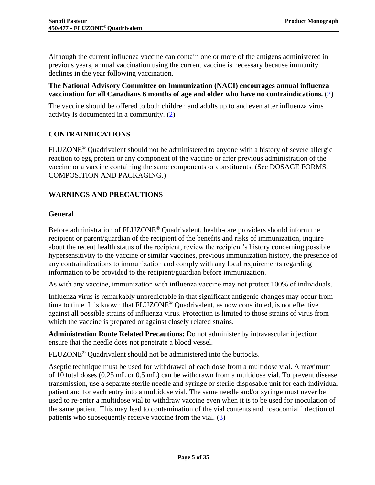Although the current influenza vaccine can contain one or more of the antigens administered in previous years, annual vaccination using the current vaccine is necessary because immunity declines in the year following vaccination.

### **The National Advisory Committee on Immunization (NACI) encourages annual influenza vaccination for all Canadians 6 months of age and older who have no contraindications.** [\(2\)](#page-29-2)

The vaccine should be offered to both children and adults up to and even after influenza virus activity is documented in a community. [\(2\)](#page-29-2)

## <span id="page-4-0"></span>**CONTRAINDICATIONS**

FLUZONE® Quadrivalent should not be administered to anyone with a history of severe allergic reaction to egg protein or any component of the vaccine or after previous administration of the vaccine or a vaccine containing the same components or constituents. (See [DOSAGE FORMS,](#page-12-2)  [COMPOSITION AND PACKAGING.](#page-12-2))

## <span id="page-4-1"></span>**WARNINGS AND PRECAUTIONS**

### <span id="page-4-2"></span>**General**

Before administration of FLUZONE<sup>®</sup> Quadrivalent, health-care providers should inform the recipient or parent/guardian of the recipient of the benefits and risks of immunization, inquire about the recent health status of the recipient, review the recipient's history concerning possible hypersensitivity to the vaccine or similar vaccines, previous immunization history, the presence of any contraindications to immunization and comply with any local requirements regarding information to be provided to the recipient/guardian before immunization.

As with any vaccine, immunization with influenza vaccine may not protect 100% of individuals.

Influenza virus is remarkably unpredictable in that significant antigenic changes may occur from time to time. It is known that FLUZONE® Quadrivalent, as now constituted, is not effective against all possible strains of influenza virus. Protection is limited to those strains of virus from which the vaccine is prepared or against closely related strains.

**Administration Route Related Precautions:** Do not administer by intravascular injection: ensure that the needle does not penetrate a blood vessel.

FLUZONE<sup>®</sup> Quadrivalent should not be administered into the buttocks.

Aseptic technique must be used for withdrawal of each dose from a multidose vial. A maximum of 10 total doses (0.25 mL or 0.5 mL) can be withdrawn from a multidose vial. To prevent disease transmission, use a separate sterile needle and syringe or sterile disposable unit for each individual patient and for each entry into a multidose vial. The same needle and/or syringe must never be used to re-enter a multidose vial to withdraw vaccine even when it is to be used for inoculation of the same patient. This may lead to contamination of the vial contents and nosocomial infection of patients who subsequently receive vaccine from the vial. [\(3\)](#page-29-3)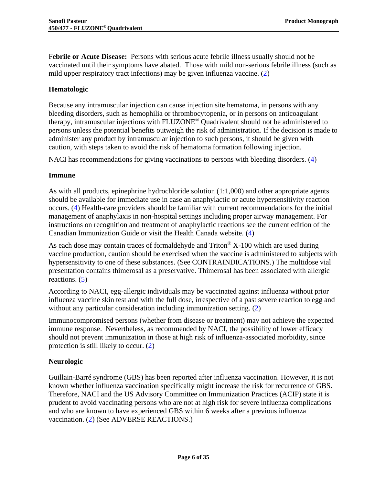F**ebrile or Acute Disease:** Persons with serious acute febrile illness usually should not be vaccinated until their symptoms have abated. Those with mild non-serious febrile illness (such as mild upper respiratory tract infections) may be given influenza vaccine. [\(2\)](#page-29-2)

## <span id="page-5-0"></span>**Hematologic**

Because any intramuscular injection can cause injection site hematoma, in persons with any bleeding disorders, such as hemophilia or thrombocytopenia, or in persons on anticoagulant therapy, intramuscular injections with FLUZONE® Quadrivalent should not be administered to persons unless the potential benefits outweigh the risk of administration. If the decision is made to administer any product by intramuscular injection to such persons, it should be given with caution, with steps taken to avoid the risk of hematoma formation following injection.

<span id="page-5-1"></span>NACI has recommendations for giving vaccinations to persons with bleeding disorders. [\(4\)](#page-29-4)

## **Immune**

As with all products, epinephrine hydrochloride solution (1:1,000) and other appropriate agents should be available for immediate use in case an anaphylactic or acute hypersensitivity reaction occurs. [\(4\)](#page-29-4) Health-care providers should be familiar with current recommendations for the initial management of anaphylaxis in non-hospital settings including proper airway management. For instructions on recognition and treatment of anaphylactic reactions see the current edition of the Canadian Immunization Guide or visit the Health Canada website. [\(4\)](#page-29-4)

As each dose may contain traces of formaldehyde and  $Triton^{\circledR} X-100$  which are used during vaccine production, caution should be exercised when the vaccine is administered to subjects with hypersensitivity to one of these substances. (See [CONTRAINDICATIONS.](#page-4-0)) The multidose vial presentation contains thimerosal as a preservative. Thimerosal has been associated with allergic reactions. [\(5\)](#page-29-5)

According to NACI, egg-allergic individuals may be vaccinated against influenza without prior influenza vaccine skin test and with the full dose, irrespective of a past severe reaction to egg and without any particular consideration including immunization setting. [\(2\)](#page-29-2)

Immunocompromised persons (whether from disease or treatment) may not achieve the expected immune response. Nevertheless, as recommended by NACI, the possibility of lower efficacy should not prevent immunization in those at high risk of influenza-associated morbidity, since protection is still likely to occur. [\(2\)](#page-29-2)

## <span id="page-5-2"></span>**Neurologic**

Guillain-Barré syndrome (GBS) has been reported after influenza vaccination. However, it is not known whether influenza vaccination specifically might increase the risk for recurrence of GBS. Therefore, NACI and the US Advisory Committee on Immunization Practices (ACIP) state it is prudent to avoid vaccinating persons who are not at high risk for severe influenza complications and who are known to have experienced GBS within 6 weeks after a previous influenza vaccination. [\(2\)](#page-29-2) (See [ADVERSE REACTIONS.](#page-6-1))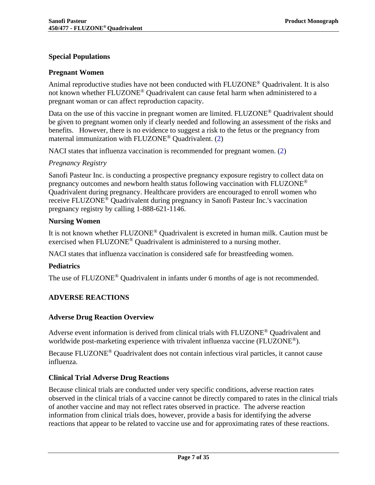### <span id="page-6-0"></span>**Special Populations**

#### **Pregnant Women**

Animal reproductive studies have not been conducted with FLUZONE® Quadrivalent. It is also not known whether FLUZONE® Quadrivalent can cause fetal harm when administered to a pregnant woman or can affect reproduction capacity.

Data on the use of this vaccine in pregnant women are limited. FLUZONE<sup>®</sup> Quadrivalent should be given to pregnant women only if clearly needed and following an assessment of the risks and benefits. However, there is no evidence to suggest a risk to the fetus or the pregnancy from maternal immunization with FLUZONE® Quadrivalent. [\(2\)](#page-29-2)

NACI states that influenza vaccination is recommended for pregnant women. [\(2\)](#page-29-2)

### *Pregnancy Registry*

Sanofi Pasteur Inc. is conducting a prospective pregnancy exposure registry to collect data on pregnancy outcomes and newborn health status following vaccination with FLUZONE® Quadrivalent during pregnancy. Healthcare providers are encouraged to enroll women who receive FLUZONE® Quadrivalent during pregnancy in Sanofi Pasteur Inc.'s vaccination pregnancy registry by calling 1-888-621-1146.

#### **Nursing Women**

It is not known whether FLUZONE® Quadrivalent is excreted in human milk. Caution must be exercised when FLUZONE® Quadrivalent is administered to a nursing mother.

NACI states that influenza vaccination is considered safe for breastfeeding women.

#### **Pediatrics**

<span id="page-6-1"></span>The use of FLUZONE<sup>®</sup> Quadrivalent in infants under 6 months of age is not recommended.

## **ADVERSE REACTIONS**

#### <span id="page-6-2"></span>**Adverse Drug Reaction Overview**

Adverse event information is derived from clinical trials with FLUZONE® Quadrivalent and worldwide post-marketing experience with trivalent influenza vaccine (FLUZONE<sup>®</sup>).

Because FLUZONE® Quadrivalent does not contain infectious viral particles, it cannot cause influenza.

## <span id="page-6-3"></span>**Clinical Trial Adverse Drug Reactions**

Because clinical trials are conducted under very specific conditions, adverse reaction rates observed in the clinical trials of a vaccine cannot be directly compared to rates in the clinical trials of another vaccine and may not reflect rates observed in practice. The adverse reaction information from clinical trials does, however, provide a basis for identifying the adverse reactions that appear to be related to vaccine use and for approximating rates of these reactions.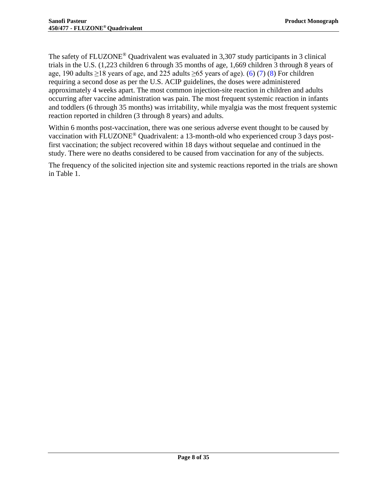The safety of FLUZONE® Quadrivalent was evaluated in 3,307 study participants in 3 clinical trials in the U.S. (1,223 children 6 through 35 months of age, 1,669 children 3 through 8 years of age, 190 adults  $\geq$ 18 years of age, and 225 adults  $\geq$ 65 years of age). [\(6\)](#page-29-6) [\(7\)](#page-29-7) [\(8\)](#page-29-8) For children requiring a second dose as per the U.S. ACIP guidelines, the doses were administered approximately 4 weeks apart. The most common injection-site reaction in children and adults occurring after vaccine administration was pain. The most frequent systemic reaction in infants and toddlers (6 through 35 months) was irritability, while myalgia was the most frequent systemic reaction reported in children (3 through 8 years) and adults.

Within 6 months post-vaccination, there was one serious adverse event thought to be caused by vaccination with FLUZONE® Quadrivalent: a 13-month-old who experienced croup 3 days postfirst vaccination; the subject recovered within 18 days without sequelae and continued in the study. There were no deaths considered to be caused from vaccination for any of the subjects.

The frequency of the solicited injection site and systemic reactions reported in the trials are shown in [Table 1.](#page-8-1)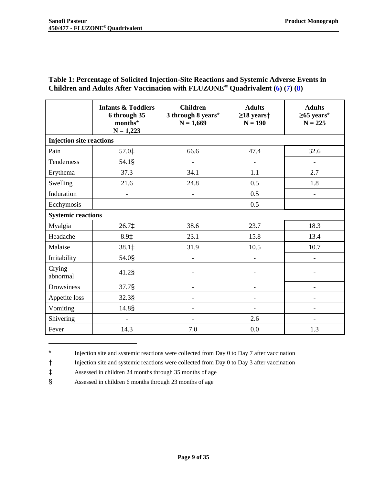<span id="page-8-1"></span>

| Table 1: Percentage of Solicited Injection-Site Reactions and Systemic Adverse Events in |  |
|------------------------------------------------------------------------------------------|--|
| Children and Adults After Vaccination with $FLUZONE®$ Quadrivalent (6) (7) (8)           |  |

|                                 | <b>Infants &amp; Toddlers</b><br>6 through 35<br>months*<br>$N = 1,223$ | <b>Children</b><br>3 through 8 years*<br>$N = 1,669$ | <b>Adults</b><br>$\geq$ 18 years $\dagger$<br>$N = 190$ | <b>Adults</b><br>$\geq$ 65 years*<br>$N = 225$ |
|---------------------------------|-------------------------------------------------------------------------|------------------------------------------------------|---------------------------------------------------------|------------------------------------------------|
| <b>Injection site reactions</b> |                                                                         |                                                      |                                                         |                                                |
| Pain                            | 57.0‡                                                                   | 66.6                                                 | 47.4                                                    | 32.6                                           |
| Tenderness                      | 54.1§                                                                   | $\overline{\phantom{a}}$                             | $\overline{\phantom{m}}$                                | $\frac{1}{2}$                                  |
| Erythema                        | 37.3                                                                    | 34.1                                                 | 1.1                                                     | 2.7                                            |
| Swelling                        | 21.6                                                                    | 24.8                                                 | 0.5                                                     | 1.8                                            |
| Induration                      | $\overline{\phantom{a}}$                                                | $\overline{\phantom{a}}$                             | 0.5                                                     | $\overline{\phantom{a}}$                       |
| Ecchymosis                      | $\overline{\phantom{a}}$                                                | $\blacksquare$                                       | 0.5                                                     | $\overline{\phantom{a}}$                       |
| <b>Systemic reactions</b>       |                                                                         |                                                      |                                                         |                                                |
| Myalgia                         | $26.7\pm$                                                               | 38.6                                                 | 23.7                                                    | 18.3                                           |
| Headache                        | $8.9+$                                                                  | 23.1                                                 | 15.8                                                    | 13.4                                           |
| Malaise                         | 38.1‡                                                                   | 31.9                                                 | 10.5                                                    | 10.7                                           |
| Irritability                    | 54.0§                                                                   | $\blacksquare$                                       |                                                         |                                                |
| Crying-<br>abnormal             | $41.2$ §                                                                |                                                      |                                                         |                                                |
| Drowsiness                      | 37.7§                                                                   |                                                      |                                                         |                                                |
| Appetite loss                   | 32.3§                                                                   |                                                      |                                                         |                                                |
| Vomiting                        | 14.8§                                                                   |                                                      |                                                         |                                                |
| Shivering                       | $\overline{\phantom{a}}$                                                | $\overline{\phantom{0}}$                             | 2.6                                                     | $\overline{\phantom{a}}$                       |
| Fever                           | 14.3                                                                    | 7.0                                                  | 0.0                                                     | 1.3                                            |

<sup>\*</sup> Injection site and systemic reactions were collected from Day 0 to Day 7 after vaccination

<sup>†</sup> Injection site and systemic reactions were collected from Day 0 to Day 3 after vaccination

<sup>‡</sup> Assessed in children 24 months through 35 months of age

<span id="page-8-0"></span><sup>§</sup> Assessed in children 6 months through 23 months of age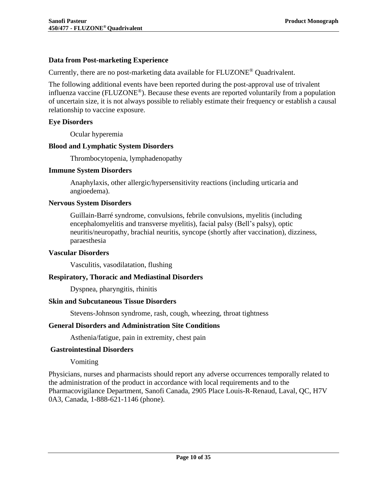### **Data from Post-marketing Experience**

Currently, there are no post-marketing data available for FLUZONE® Quadrivalent.

The following additional events have been reported during the post-approval use of trivalent influenza vaccine (FLUZONE®). Because these events are reported voluntarily from a population of uncertain size, it is not always possible to reliably estimate their frequency or establish a causal relationship to vaccine exposure.

#### **Eye Disorders**

Ocular hyperemia

### **Blood and Lymphatic System Disorders**

Thrombocytopenia, lymphadenopathy

#### **Immune System Disorders**

Anaphylaxis, other allergic/hypersensitivity reactions (including urticaria and angioedema).

#### **Nervous System Disorders**

Guillain-Barré syndrome, convulsions, febrile convulsions, myelitis (including encephalomyelitis and transverse myelitis), facial palsy (Bell's palsy), optic neuritis/neuropathy, brachial neuritis, syncope (shortly after vaccination), dizziness, paraesthesia

#### **Vascular Disorders**

Vasculitis, vasodilatation, flushing

#### **Respiratory, Thoracic and Mediastinal Disorders**

Dyspnea, pharyngitis, rhinitis

#### **Skin and Subcutaneous Tissue Disorders**

Stevens-Johnson syndrome, rash, cough, wheezing, throat tightness

#### **General Disorders and Administration Site Conditions**

Asthenia/fatigue, pain in extremity, chest pain

#### **Gastrointestinal Disorders**

Vomiting

Physicians, nurses and pharmacists should report any adverse occurrences temporally related to the administration of the product in accordance with local requirements and to the Pharmacovigilance Department, Sanofi Canada, 2905 Place Louis-R-Renaud, Laval, QC, H7V 0A3, Canada, 1-888-621-1146 (phone).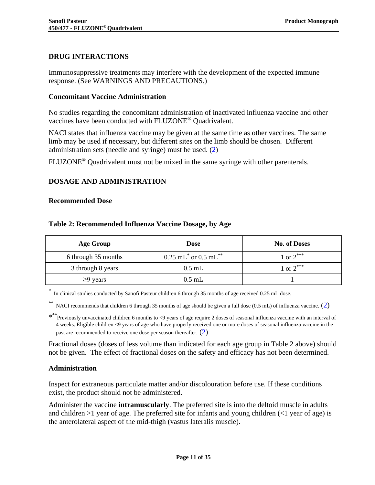## <span id="page-10-0"></span>**DRUG INTERACTIONS**

Immunosuppressive treatments may interfere with the development of the expected immune response. (See [WARNINGS AND PRECAUTIONS.](#page-4-1))

#### <span id="page-10-1"></span>**Concomitant Vaccine Administration**

No studies regarding the concomitant administration of inactivated influenza vaccine and other vaccines have been conducted with FLUZONE® Quadrivalent.

NACI states that influenza vaccine may be given at the same time as other vaccines. The same limb may be used if necessary, but different sites on the limb should be chosen. Different administration sets (needle and syringe) must be used. [\(2\)](#page-29-2)

<span id="page-10-2"></span>FLUZONE® Quadrivalent must not be mixed in the same syringe with other parenterals.

### **DOSAGE AND ADMINISTRATION**

#### <span id="page-10-5"></span><span id="page-10-3"></span>**Recommended Dose**

| <b>Age Group</b>    | <b>Dose</b>                                      | <b>No. of Doses</b> |
|---------------------|--------------------------------------------------|---------------------|
| 6 through 35 months | $0.25$ mL <sup>*</sup> or $0.5$ mL <sup>**</sup> | 1 or $2^{***}$      |
| 3 through 8 years   | $0.5$ mL                                         | 1 or $2^{***}$      |
| $\geq$ 9 years      | $0.5$ mL                                         |                     |

#### **Table 2: Recommended Influenza Vaccine Dosage, by Age**

\* In clinical studies conducted by Sanofi Pasteur children 6 through 35 months of age received 0.25 mL dose.

NACI recommends that children 6 through 35 months of age should be given a full dose (0.5 mL) of influenza vaccine.  $(2)$ 

\* \*\* Previously unvaccinated children 6 months to <9 years of age require 2 doses of seasonal influenza vaccine with an interval of 4 weeks. Eligible children <9 years of age who have properly received one or more doses of seasonal influenza vaccine in the past are recommended to receive one dose per season thereafter.  $(2)$ 

Fractional doses (doses of less volume than indicated for each age group in [Table 2](#page-10-5) above) should not be given. The effect of fractional doses on the safety and efficacy has not been determined.

#### <span id="page-10-4"></span>**Administration**

Inspect for extraneous particulate matter and/or discolouration before use. If these conditions exist, the product should not be administered.

Administer the vaccine **intramuscularly**. The preferred site is into the deltoid muscle in adults and children  $>1$  year of age. The preferred site for infants and young children  $\ll 1$  year of age) is the anterolateral aspect of the mid-thigh (vastus lateralis muscle).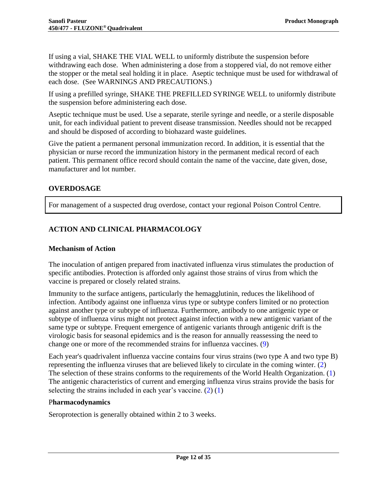If using a vial, SHAKE THE VIAL WELL to uniformly distribute the suspension before withdrawing each dose. When administering a dose from a stoppered vial, do not remove either the stopper or the metal seal holding it in place. Aseptic technique must be used for withdrawal of each dose. (See [WARNINGS AND PRECAUTIONS.](#page-4-1))

If using a prefilled syringe, SHAKE THE PREFILLED SYRINGE WELL to uniformly distribute the suspension before administering each dose.

Aseptic technique must be used. Use a separate, sterile syringe and needle, or a sterile disposable unit, for each individual patient to prevent disease transmission. Needles should not be recapped and should be disposed of according to biohazard waste guidelines.

Give the patient a permanent personal immunization record. In addition, it is essential that the physician or nurse record the immunization history in the permanent medical record of each patient. This permanent office record should contain the name of the vaccine, date given, dose, manufacturer and lot number.

## <span id="page-11-0"></span>**OVERDOSAGE**

For management of a suspected drug overdose, contact your regional Poison Control Centre.

## <span id="page-11-1"></span>**ACTION AND CLINICAL PHARMACOLOGY**

## <span id="page-11-2"></span>**Mechanism of Action**

The inoculation of antigen prepared from inactivated influenza virus stimulates the production of specific antibodies. Protection is afforded only against those strains of virus from which the vaccine is prepared or closely related strains.

Immunity to the surface antigens, particularly the hemagglutinin, reduces the likelihood of infection. Antibody against one influenza virus type or subtype confers limited or no protection against another type or subtype of influenza. Furthermore, antibody to one antigenic type or subtype of influenza virus might not protect against infection with a new antigenic variant of the same type or subtype. Frequent emergence of antigenic variants through antigenic drift is the virologic basis for seasonal epidemics and is the reason for annually reassessing the need to change one or more of the recommended strains for influenza vaccines. [\(9\)](#page-29-9)

Each year's quadrivalent influenza vaccine contains four virus strains (two type A and two type B) representing the influenza viruses that are believed likely to circulate in the coming winter. [\(2\)](#page-29-2) The selection of these strains conforms to the requirements of the World Health Organization. [\(1\)](#page-29-1) The antigenic characteristics of current and emerging influenza virus strains provide the basis for selecting the strains included in each year's vaccine.  $(2)$   $(1)$ 

## P**harmacodynamics**

Seroprotection is generally obtained within 2 to 3 weeks.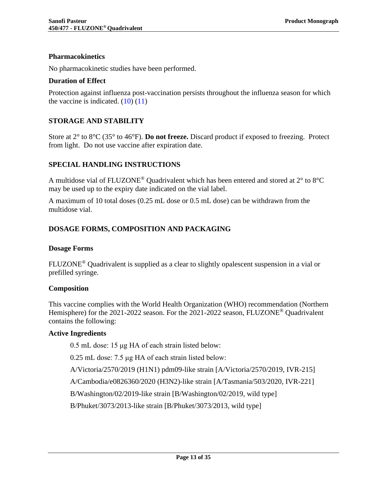### **Pharmacokinetics**

No pharmacokinetic studies have been performed.

#### **Duration of Effect**

Protection against influenza post-vaccination persists throughout the influenza season for which the vaccine is indicated.  $(10)(11)$  $(10)(11)$ 

### <span id="page-12-0"></span>**STORAGE AND STABILITY**

Store at 2° to 8°C (35° to 46°F). **Do not freeze.** Discard product if exposed to freezing. Protect from light. Do not use vaccine after expiration date.

#### <span id="page-12-1"></span>**SPECIAL HANDLING INSTRUCTIONS**

A multidose vial of FLUZONE<sup>®</sup> Quadrivalent which has been entered and stored at  $2^{\circ}$  to  $8^{\circ}$ C may be used up to the expiry date indicated on the vial label.

A maximum of 10 total doses (0.25 mL dose or 0.5 mL dose) can be withdrawn from the multidose vial.

## <span id="page-12-2"></span>**DOSAGE FORMS, COMPOSITION AND PACKAGING**

#### <span id="page-12-3"></span>**Dosage Forms**

FLUZONE® Quadrivalent is supplied as a clear to slightly opalescent suspension in a vial or prefilled syringe.

#### <span id="page-12-4"></span>**Composition**

This vaccine complies with the World Health Organization (WHO) recommendation (Northern Hemisphere) for the 2021-2022 season. For the 2021-2022 season, FLUZONE<sup>®</sup> Quadrivalent contains the following:

#### **Active Ingredients**

0.5 mL dose: 15 μg HA of each strain listed below:

0.25 mL dose: 7.5 μg HA of each strain listed below:

A/Victoria/2570/2019 (H1N1) pdm09-like strain [A/Victoria/2570/2019, IVR-215]

A/Cambodia/e0826360/2020 (H3N2)-like strain [A/Tasmania/503/2020, IVR-221]

B/Washington/02/2019-like strain [B/Washington/02/2019, wild type]

B/Phuket/3073/2013-like strain [B/Phuket/3073/2013, wild type]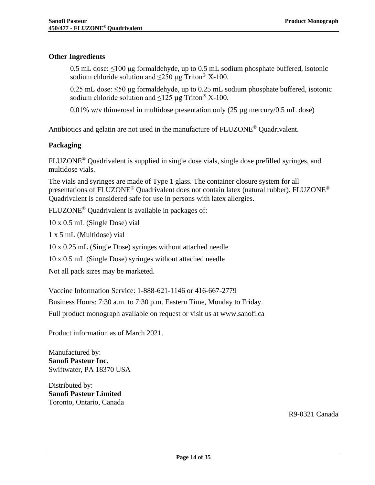### **Other Ingredients**

0.5 mL dose:  $\leq 100 \mu$ g formaldehyde, up to 0.5 mL sodium phosphate buffered, isotonic sodium chloride solution and  $\leq$ 250 µg Triton<sup>®</sup> X-100.

0.25 mL dose: ≤50 μg formaldehyde, up to 0.25 mL sodium phosphate buffered, isotonic sodium chloride solution and  $\leq 125 \mu$ g Triton<sup>®</sup> X-100.

0.01% w/v thimerosal in multidose presentation only (25 µg mercury/0.5 mL dose)

<span id="page-13-0"></span>Antibiotics and gelatin are not used in the manufacture of  $FLUZONE^{\omega}$  Quadrivalent.

#### **Packaging**

FLUZONE® Quadrivalent is supplied in single dose vials, single dose prefilled syringes, and multidose vials.

The vials and syringes are made of Type 1 glass. The container closure system for all presentations of FLUZONE<sup>®</sup> Quadrivalent does not contain latex (natural rubber). FLUZONE<sup>®</sup> Quadrivalent is considered safe for use in persons with latex allergies.

FLUZONE® Quadrivalent is available in packages of:

10 x 0.5 mL (Single Dose) vial

1 x 5 mL (Multidose) vial

10 x 0.25 mL (Single Dose) syringes without attached needle

10 x 0.5 mL (Single Dose) syringes without attached needle

Not all pack sizes may be marketed.

Vaccine Information Service: 1-888-621-1146 or 416-667-2779

Business Hours: 7:30 a.m. to 7:30 p.m. Eastern Time, Monday to Friday.

Full product monograph available on request or visit us at www.sanofi.ca

Product information as of March 2021.

Manufactured by: **Sanofi Pasteur Inc.** Swiftwater, PA 18370 USA

Distributed by: **Sanofi Pasteur Limited** Toronto, Ontario, Canada

R9-0321 Canada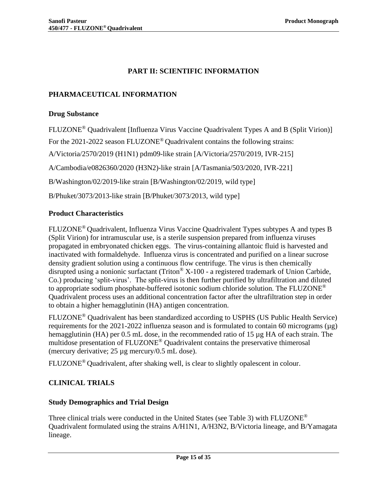## **PART II: SCIENTIFIC INFORMATION**

## <span id="page-14-1"></span><span id="page-14-0"></span>**PHARMACEUTICAL INFORMATION**

#### <span id="page-14-2"></span>**Drug Substance**

FLUZONE® Quadrivalent [Influenza Virus Vaccine Quadrivalent Types A and B (Split Virion)] For the 2021-2022 season FLUZONE® Quadrivalent contains the following strains: A/Victoria/2570/2019 (H1N1) pdm09-like strain [A/Victoria/2570/2019, IVR-215] A/Cambodia/e0826360/2020 (H3N2)-like strain [A/Tasmania/503/2020, IVR-221] B/Washington/02/2019-like strain [B/Washington/02/2019, wild type] B/Phuket/3073/2013-like strain [B/Phuket/3073/2013, wild type]

## <span id="page-14-3"></span>**Product Characteristics**

FLUZONE® Quadrivalent, Influenza Virus Vaccine Quadrivalent Types subtypes A and types B (Split Virion) for intramuscular use, is a sterile suspension prepared from influenza viruses propagated in embryonated chicken eggs. The virus-containing allantoic fluid is harvested and inactivated with formaldehyde. Influenza virus is concentrated and purified on a linear sucrose density gradient solution using a continuous flow centrifuge. The virus is then chemically disrupted using a nonionic surfactant (Triton<sup>®</sup> X-100 - a registered trademark of Union Carbide, Co.) producing 'split-virus'. The split-virus is then further purified by ultrafiltration and diluted to appropriate sodium phosphate-buffered isotonic sodium chloride solution. The FLUZONE<sup>®</sup> Quadrivalent process uses an additional concentration factor after the ultrafiltration step in order to obtain a higher hemagglutinin (HA) antigen concentration.

FLUZONE® Quadrivalent has been standardized according to USPHS (US Public Health Service) requirements for the 2021-2022 influenza season and is formulated to contain 60 micrograms ( $\mu$ g) hemagglutinin (HA) per 0.5 mL dose, in the recommended ratio of 15 µg HA of each strain. The multidose presentation of FLUZONE® Quadrivalent contains the preservative thimerosal (mercury derivative; 25 µg mercury/0.5 mL dose).

<span id="page-14-4"></span>FLUZONE® Quadrivalent, after shaking well, is clear to slightly opalescent in colour.

## **CLINICAL TRIALS**

## <span id="page-14-5"></span>**Study Demographics and Trial Design**

Three clinical trials were conducted in the United States (see [Table 3\)](#page-15-0) with FLUZONE® Quadrivalent formulated using the strains A/H1N1, A/H3N2, B/Victoria lineage, and B/Yamagata lineage.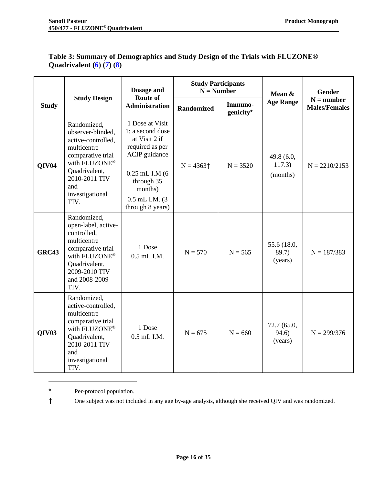|                   | <b>Study Participants</b><br>Dosage and<br>$N =$ Number<br><b>Route of</b><br><b>Study Design</b>                                                                               |                                                                                                                                                                                |                         | Mean &               |                                  |                                      |  |
|-------------------|---------------------------------------------------------------------------------------------------------------------------------------------------------------------------------|--------------------------------------------------------------------------------------------------------------------------------------------------------------------------------|-------------------------|----------------------|----------------------------------|--------------------------------------|--|
| <b>Study</b>      |                                                                                                                                                                                 | <b>Administration</b>                                                                                                                                                          | <b>Randomized</b>       | Immuno-<br>genicity* | <b>Age Range</b>                 | $N =$ number<br><b>Males/Females</b> |  |
| QIV <sub>04</sub> | Randomized,<br>observer-blinded,<br>active-controlled,<br>multicentre<br>comparative trial<br>with FLUZONE®<br>Quadrivalent,<br>2010-2011 TIV<br>and<br>investigational<br>TIV. | 1 Dose at Visit<br>1; a second dose<br>at Visit 2 if<br>required as per<br>ACIP guidance<br>$0.25$ mL I.M $(6)$<br>through 35<br>months)<br>0.5 mL I.M. (3<br>through 8 years) | $N = 4363$ <sup>+</sup> | $N = 3520$           | 49.8 (6.0,<br>117.3)<br>(months) | $N = 2210/2153$                      |  |
| <b>GRC43</b>      | Randomized,<br>open-label, active-<br>controlled,<br>multicentre<br>comparative trial<br>with FLUZONE®<br>Quadrivalent,<br>2009-2010 TIV<br>and 2008-2009<br>TIV.               | 1 Dose<br>0.5 mL I.M.                                                                                                                                                          | $N = 570$               | $N = 565$            | 55.6 (18.0,<br>89.7)<br>(years)  | $N = 187/383$                        |  |
| QIV <sub>03</sub> | Randomized,<br>active-controlled,<br>multicentre<br>comparative trial<br>with FLUZONE®<br>Quadrivalent,<br>2010-2011 TIV<br>and<br>investigational<br>TIV.                      | 1 Dose<br>0.5 mL I.M.                                                                                                                                                          | $N = 675$               | $N = 660$            | 72.7 (65.0,<br>94.6)<br>(years)  | $N = 299/376$                        |  |

## <span id="page-15-0"></span>**Table 3: Summary of Demographics and Study Design of the Trials with FLUZONE® Quadrivalent [\(6\)](#page-29-6) [\(7\)](#page-29-7) [\(8\)](#page-29-8)**

\* Per-protocol population.

† One subject was not included in any age by-age analysis, although she received QIV and was randomized.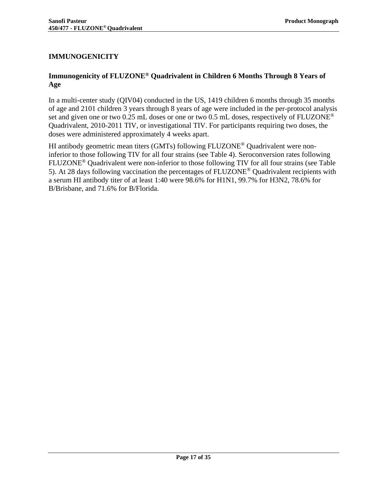## <span id="page-16-0"></span>**IMMUNOGENICITY**

## <span id="page-16-1"></span>**Immunogenicity of FLUZONE® Quadrivalent in Children 6 Months Through 8 Years of Age**

In a multi-center study (QIV04) conducted in the US, 1419 children 6 months through 35 months of age and 2101 children 3 years through 8 years of age were included in the per-protocol analysis set and given one or two 0.25 mL doses or one or two 0.5 mL doses, respectively of FLUZONE<sup>®</sup> Quadrivalent, 2010-2011 TIV, or investigational TIV. For participants requiring two doses, the doses were administered approximately 4 weeks apart.

HI antibody geometric mean titers (GMTs) following FLUZONE® Quadrivalent were noninferior to those following TIV for all four strains (see [Table 4\)](#page-17-0). Seroconversion rates following FLUZONE® Quadrivalent were non-inferior to those following TIV for all four strains (see [Table](#page-18-0)  [5\)](#page-18-0). At 28 days following vaccination the percentages of FLUZONE® Quadrivalent recipients with a serum HI antibody titer of at least 1:40 were 98.6% for H1N1, 99.7% for H3N2, 78.6% for B/Brisbane, and 71.6% for B/Florida.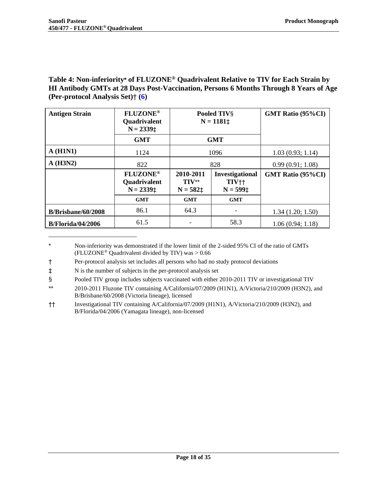## <span id="page-17-0"></span>**Table 4: Non-inferiority\* of FLUZONE® Quadrivalent Relative to TIV for Each Strain by HI Antibody GMTs at 28 Days Post-Vaccination, Persons 6 Months Through 8 Years of Age (Per-protocol Analysis Set)**† **[\(6\)](#page-29-6)**

| <b>Antigen Strain</b>     | <b>FLUZONE®</b><br><b>Quadrivalent</b><br>$N = 2339$ ‡ | Pooled TIV§<br>$N = 1181 \pm$                                                                  |            | <b>GMT Ratio (95%CI)</b> |
|---------------------------|--------------------------------------------------------|------------------------------------------------------------------------------------------------|------------|--------------------------|
|                           | <b>GMT</b>                                             |                                                                                                | <b>GMT</b> |                          |
| A(H1N1)                   | 1124                                                   |                                                                                                | 1096       | 1.03(0.93; 1.14)         |
| A(H3N2)                   | 822                                                    |                                                                                                | 828        | 0.99(0.91; 1.08)         |
|                           | <b>FLUZONE®</b><br><b>Quadrivalent</b><br>$N = 2339$ ‡ | 2010-2011<br>Investigational<br>$TIV**$<br>TIV <sup>++</sup><br>$N = 599$ ‡<br>$N = 582 \pm 1$ |            | <b>GMT Ratio (95%CI)</b> |
|                           | <b>GMT</b>                                             | <b>GMT</b><br><b>GMT</b>                                                                       |            |                          |
| <b>B/Brisbane/60/2008</b> | 86.1                                                   | 64.3                                                                                           |            | 1.34(1.20; 1.50)         |
| <b>B/Florida/04/2006</b>  | 61.5                                                   |                                                                                                | 58.3       | 1.06(0.94; 1.18)         |

<sup>\*</sup> Non-inferiority was demonstrated if the lower limit of the 2-sided 95% CI of the ratio of GMTs (FLUZONE<sup>®</sup> Quadrivalent divided by TIV) was  $> 0.66$ 

- † Per-protocol analysis set includes all persons who had no study protocol deviations
- ‡ N is the number of subjects in the per-protocol analysis set
- § Pooled TIV group includes subjects vaccinated with either 2010-2011 TIV or investigational TIV
- \*\* 2010-2011 Fluzone TIV containing A/California/07/2009 (H1N1), A/Victoria/210/2009 (H3N2), and B/Brisbane/60/2008 (Victoria lineage), licensed
- †† Investigational TIV containing A/California/07/2009 (H1N1), A/Victoria/210/2009 (H3N2), and B/Florida/04/2006 (Yamagata lineage), non-licensed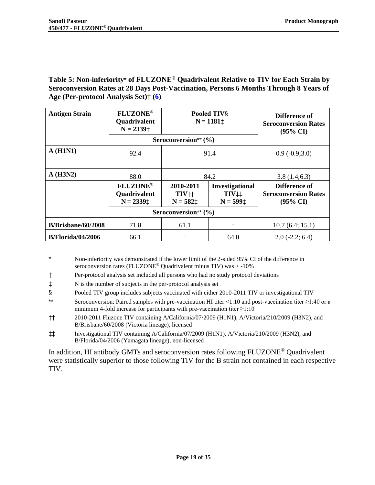<span id="page-18-0"></span>**Table 5: Non-inferiority\* of FLUZONE® Quadrivalent Relative to TIV for Each Strain by Seroconversion Rates at 28 Days Post-Vaccination, Persons 6 Months Through 8 Years of Age (Per-protocol Analysis Set)**† **[\(6\)](#page-29-6)**

| <b>Antigen Strain</b>    | <b>FLUZONE®</b><br>Quadrivalent<br>$N = 2339 \pm$ |                                                                                                                                                 | Pooled TIVS<br>$N = 1181 \pm$ | Difference of<br><b>Seroconversion Rates</b><br>$(95\% \text{ CI})$ |
|--------------------------|---------------------------------------------------|-------------------------------------------------------------------------------------------------------------------------------------------------|-------------------------------|---------------------------------------------------------------------|
|                          |                                                   | Seroconversion** (%)                                                                                                                            |                               |                                                                     |
| A(H1N1)                  | 92.4                                              | 91.4                                                                                                                                            |                               | $0.9(-0.9;3.0)$                                                     |
| $A$ (H3N2)               | 88.0                                              | 84.2                                                                                                                                            |                               | 3.8(1.4;6.3)                                                        |
|                          | <b>FLUZONE®</b><br>Quadrivalent<br>$N = 2339$ ‡   | 2010-2011<br><b>Investigational</b><br>TIV <sup>++</sup><br>$TIV$ <sup><math>\ddagger</math></sup> $\ddagger$<br>$N = 599$ ‡<br>$N = 582 \pm 1$ |                               | Difference of<br><b>Seroconversion Rates</b><br>$(95\% \text{ CI})$ |
|                          |                                                   | Seroconversion** (%)                                                                                                                            |                               |                                                                     |
| B/Brisbane/60/2008       | 71.8                                              | 61.1                                                                                                                                            |                               | 10.7(6.4; 15.1)                                                     |
| <b>B/Florida/04/2006</b> | 66.1                                              |                                                                                                                                                 | 64.0                          | $2.0(-2.2; 6.4)$                                                    |

Non-inferiority was demonstrated if the lower limit of the 2-sided 95% CI of the difference in seroconversion rates (FLUZONE® Quadrivalent minus TIV) was > -10%

<sup>†</sup> Per-protocol analysis set included all persons who had no study protocol deviations

<sup>‡</sup> N is the number of subjects in the per-protocol analysis set

<sup>§</sup> Pooled TIV group includes subjects vaccinated with either 2010-2011 TIV or investigational TIV

<sup>\*\*</sup> Seroconversion: Paired samples with pre-vaccination HI titer <1:10 and post-vaccination titer ≥1:40 or a minimum 4-fold increase for participants with pre-vaccination titer  $\geq 1:10$ 

<sup>††</sup> 2010-2011 Fluzone TIV containing A/California/07/2009 (H1N1), A/Victoria/210/2009 (H3N2), and B/Brisbane/60/2008 (Victoria lineage), licensed

<sup>‡‡</sup> Investigational TIV containing A/California/07/2009 (H1N1), A/Victoria/210/2009 (H3N2), and B/Florida/04/2006 (Yamagata lineage), non-licensed

In addition, HI antibody GMTs and seroconversion rates following FLUZONE® Quadrivalent were statistically superior to those following TIV for the B strain not contained in each respective TIV.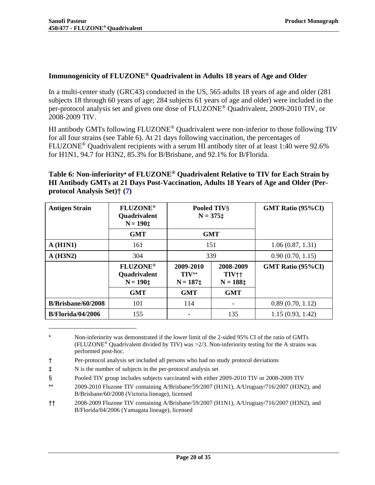## <span id="page-19-0"></span>**Immunogenicity of FLUZONE® Quadrivalent in Adults 18 years of Age and Older**

In a multi-center study (GRC43) conducted in the US, 565 adults 18 years of age and older (281 subjects 18 through 60 years of age; 284 subjects 61 years of age and older) were included in the per-protocol analysis set and given one dose of FLUZONE® Quadrivalent, 2009-2010 TIV, or 2008-2009 TIV.

HI antibody GMTs following FLUZONE<sup>®</sup> Quadrivalent were non-inferior to those following TIV for all four strains (see [Table 6\)](#page-19-1). At 21 days following vaccination, the percentages of FLUZONE® Quadrivalent recipients with a serum HI antibody titer of at least 1:40 were 92.6% for H1N1, 94.7 for H3N2, 85.3% for B/Brisbane, and 92.1% for B/Florida.

## <span id="page-19-1"></span>**Table 6: Non-inferiority\* of FLUZONE® Quadrivalent Relative to TIV for Each Strain by HI Antibody GMTs at 21 Days Post-Vaccination, Adults 18 Years of Age and Older (Perprotocol Analysis Set)**† **[\(7\)](#page-29-7)**

| <b>Antigen Strain</b>    | <b>FLUZONE®</b><br>Quadrivalent<br>$N = 190 \pm$ | Pooled TIV§<br>$N = 375 \pm 1$                                                       |     |                          |  | <b>GMT Ratio (95%CI)</b> |
|--------------------------|--------------------------------------------------|--------------------------------------------------------------------------------------|-----|--------------------------|--|--------------------------|
|                          | <b>GMT</b>                                       | <b>GMT</b>                                                                           |     |                          |  |                          |
| A(H1N1)                  | 161                                              | 151                                                                                  |     | 1.06(0.87, 1.31)         |  |                          |
| A(H3N2)                  | 304                                              | 339                                                                                  |     | 0.90(0.70, 1.15)         |  |                          |
|                          | <b>FLUZONE®</b><br>Quadrivalent<br>$N = 190$ ‡   | 2009-2010<br>2008-2009<br>$TIV**$<br>TIV <sup>++</sup><br>$N = 188$ ‡<br>$N = 187$ ‡ |     | <b>GMT Ratio (95%CI)</b> |  |                          |
|                          | <b>GMT</b>                                       | <b>GMT</b><br><b>GMT</b>                                                             |     |                          |  |                          |
| B/Brisbane/60/2008       | 101                                              | 114                                                                                  |     | 0.89(0.70, 1.12)         |  |                          |
| <b>B/Florida/04/2006</b> | 155                                              |                                                                                      | 135 | 1.15(0.93, 1.42)         |  |                          |

Non-inferiority was demonstrated if the lower limit of the 2-sided 95% CI of the ratio of GMTs (FLUZONE<sup>®</sup> Quadrivalent divided by TIV) was  $>2/3$ . Non-inferiority testing for the A strains was performed post-hoc.

- ‡ N is the number of subjects in the per-protocol analysis set
- § Pooled TIV group includes subjects vaccinated with either 2009-2010 TIV or 2008-2009 TIV
- \*\* 2009-2010 Fluzone TIV containing A/Brisbane/59/2007 (H1N1), A/Uruguay/716/2007 (H3N2), and B/Brisbane/60/2008 (Victoria lineage), licensed
- †† 2008-2009 Fluzone TIV containing A/Brisbane/59/2007 (H1N1), A/Uruguay/716/2007 (H3N2), and B/Florida/04/2006 (Yamagata lineage), licensed

<sup>†</sup> Per-protocol analysis set included all persons who had no study protocol deviations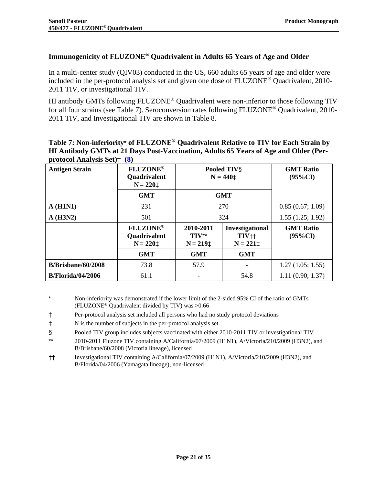### <span id="page-20-0"></span>**Immunogenicity of FLUZONE® Quadrivalent in Adults 65 Years of Age and Older**

In a multi-center study (QIV03) conducted in the US, 660 adults 65 years of age and older were included in the per-protocol analysis set and given one dose of FLUZONE® Quadrivalent, 2010- 2011 TIV, or investigational TIV.

HI antibody GMTs following FLUZONE® Quadrivalent were non-inferior to those following TIV for all four strains (see [Table 7\)](#page-20-1). Seroconversion rates following FLUZONE® Quadrivalent, 2010- 2011 TIV, and Investigational TIV are shown in [Table 8.](#page-21-0)

#### <span id="page-20-1"></span>**Table 7: Non-inferiority\* of FLUZONE® Quadrivalent Relative to TIV for Each Strain by HI Antibody GMTs at 21 Days Post-Vaccination, Adults 65 Years of Age and Older (Perprotocol Analysis Set)**† **[\(8\)](#page-29-8)**

| <b>Antigen Strain</b>     | <b>FLUZONE®</b><br><b>Quadrivalent</b><br>$N = 220 \pm$ | Pooled TIVS<br>$N = 440 \pm$                                                                 | <b>GMT Ratio</b><br>$(95\%CI)$ |                                |
|---------------------------|---------------------------------------------------------|----------------------------------------------------------------------------------------------|--------------------------------|--------------------------------|
|                           | <b>GMT</b>                                              | <b>GMT</b>                                                                                   |                                |                                |
| A(H1N1)                   | 231                                                     | 270                                                                                          | 0.85(0.67; 1.09)               |                                |
| A(H3N2)                   | 501                                                     | 324                                                                                          | 1.55(1.25; 1.92)               |                                |
|                           | <b>FLUZONE®</b><br><b>Quadrivalent</b><br>$N = 220$ ‡   | 2010-2011<br>Investigational<br>$TIV**$<br>TIV <sup>++</sup><br>$N = 221 \pm$<br>$N = 219$ ‡ |                                | <b>GMT</b> Ratio<br>$(95\%CI)$ |
|                           | <b>GMT</b>                                              | <b>GMT</b>                                                                                   |                                |                                |
| <b>B/Brisbane/60/2008</b> | 73.8                                                    | 57.9                                                                                         | 1.27(1.05; 1.55)               |                                |
| <b>B/Florida/04/2006</b>  | 61.1                                                    |                                                                                              | 54.8                           | 1.11(0.90; 1.37)               |

<sup>\*</sup> Non-inferiority was demonstrated if the lower limit of the 2-sided 95% CI of the ratio of GMTs (FLUZONE® Quadrivalent divided by TIV) was >0.66

<sup>†</sup> Per-protocol analysis set included all persons who had no study protocol deviations

<sup>‡</sup> N is the number of subjects in the per-protocol analysis set

<sup>§</sup> Pooled TIV group includes subjects vaccinated with either 2010-2011 TIV or investigational TIV

<sup>\*\*</sup> 2010-2011 Fluzone TIV containing A/California/07/2009 (H1N1), A/Victoria/210/2009 (H3N2), and B/Brisbane/60/2008 (Victoria lineage), licensed

<sup>††</sup> Investigational TIV containing A/California/07/2009 (H1N1), A/Victoria/210/2009 (H3N2), and B/Florida/04/2006 (Yamagata lineage), non-licensed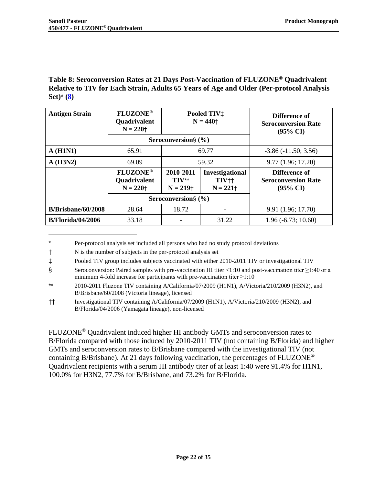### <span id="page-21-0"></span>**Table 8: Seroconversion Rates at 21 Days Post-Vaccination of FLUZONE® Quadrivalent Relative to TIV for Each Strain, Adults 65 Years of Age and Older (Per-protocol Analysis Set)**\* **[\(8\)](#page-29-8)**

| <b>Antigen Strain</b>    | <b>FLUZONE®</b><br><b>Quadrivalent</b><br>$N = 220$ † | Pooled TIV‡<br>$N = 440 +$                   |                                                   |                                                                    |  | Difference of<br><b>Seroconversion Rate</b><br>$(95\% \text{ CI})$ |
|--------------------------|-------------------------------------------------------|----------------------------------------------|---------------------------------------------------|--------------------------------------------------------------------|--|--------------------------------------------------------------------|
|                          |                                                       | Seroconversion $\S$ (%)                      |                                                   |                                                                    |  |                                                                    |
| A(H1N1)                  | 65.91                                                 | 69.77                                        |                                                   | $-3.86(-11.50; 3.56)$                                              |  |                                                                    |
| A(H3N2)                  | 69.09                                                 | 59.32                                        |                                                   | 9.77 (1.96; 17.20)                                                 |  |                                                                    |
|                          | <b>FLUZONE®</b><br><b>Quadrivalent</b><br>$N = 220$ † | 2010-2011<br>TIV**<br>$N = 219$ <sup>+</sup> | Investigational<br>TIV <sup>++</sup><br>$N = 221$ | Difference of<br><b>Seroconversion Rate</b><br>$(95\% \text{ CI})$ |  |                                                                    |
|                          |                                                       | Seroconversion $\S$ (%)                      |                                                   |                                                                    |  |                                                                    |
| B/Brisbane/60/2008       | 28.64                                                 | 18.72                                        |                                                   | 9.91 (1.96; 17.70)                                                 |  |                                                                    |
| <b>B/Florida/04/2006</b> | 33.18                                                 |                                              | 31.22                                             | $1.96(-6.73; 10.60)$                                               |  |                                                                    |

<sup>\*</sup> Per-protocol analysis set included all persons who had no study protocol deviations

FLUZONE® Quadrivalent induced higher HI antibody GMTs and seroconversion rates to B/Florida compared with those induced by 2010-2011 TIV (not containing B/Florida) and higher GMTs and seroconversion rates to B/Brisbane compared with the investigational TIV (not containing B/Brisbane). At 21 days following vaccination, the percentages of  $FLUZONE^{\circledcirc}$ Quadrivalent recipients with a serum HI antibody titer of at least 1:40 were 91.4% for H1N1, 100.0% for H3N2, 77.7% for B/Brisbane, and 73.2% for B/Florida.

<sup>†</sup> N is the number of subjects in the per-protocol analysis set

<sup>‡</sup> Pooled TIV group includes subjects vaccinated with either 2010-2011 TIV or investigational TIV

<sup>§</sup> Seroconversion: Paired samples with pre-vaccination HI titer <1:10 and post-vaccination titer ≥1:40 or a minimum 4-fold increase for participants with pre-vaccination titer  $\geq 1:10$ 

<sup>\*\*</sup> 2010-2011 Fluzone TIV containing A/California/07/2009 (H1N1), A/Victoria/210/2009 (H3N2), and B/Brisbane/60/2008 (Victoria lineage), licensed

<sup>††</sup> Investigational TIV containing A/California/07/2009 (H1N1), A/Victoria/210/2009 (H3N2), and B/Florida/04/2006 (Yamagata lineage), non-licensed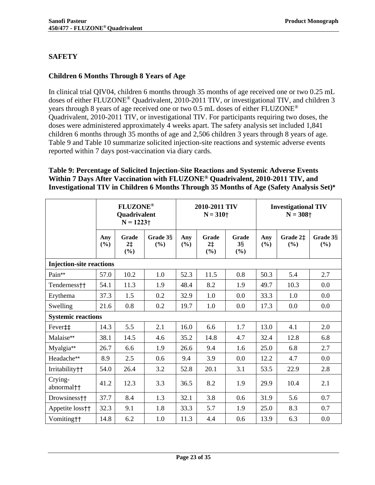## <span id="page-22-0"></span>**SAFETY**

## <span id="page-22-1"></span>**Children 6 Months Through 8 Years of Age**

In clinical trial QIV04, children 6 months through 35 months of age received one or two 0.25 mL doses of either FLUZONE® Quadrivalent, 2010-2011 TIV, or investigational TIV, and children 3 years through 8 years of age received one or two 0.5 mL doses of either FLUZONE® Quadrivalent, 2010-2011 TIV, or investigational TIV. For participants requiring two doses, the doses were administered approximately 4 weeks apart. The safety analysis set included 1,841 children 6 months through 35 months of age and 2,506 children 3 years through 8 years of age. [Table 9](#page-22-2) and [Table 10](#page-24-0) summarize solicited injection-site reactions and systemic adverse events reported within 7 days post-vaccination via diary cards.

## <span id="page-22-2"></span>**Table 9: Percentage of Solicited Injection-Site Reactions and Systemic Adverse Events Within 7 Days After Vaccination with FLUZONE® Quadrivalent, 2010-2011 TIV, and Investigational TIV in Children 6 Months Through 35 Months of Age (Safety Analysis Set)\***

|                                   |            | <b>FLUZONE®</b><br>Quadrivalent<br>$N = 1223 +$ |                    |            | 2010-2011 TIV<br>$N = 310+$ |                                   |            | <b>Investigational TIV</b><br>$N = 308$ † |                 |
|-----------------------------------|------------|-------------------------------------------------|--------------------|------------|-----------------------------|-----------------------------------|------------|-------------------------------------------|-----------------|
|                                   | Any<br>(%) | Grade<br>$2+$<br>$(\%)$                         | Grade 3§<br>$($ %) | Any<br>(%) | Grade<br>$2+$<br>(%)        | Grade<br>$3\frac{5}{3}$<br>$(\%)$ | Any<br>(%) | Grade 2‡<br>(%)                           | Grade 3§<br>(%) |
| <b>Injection-site reactions</b>   |            |                                                 |                    |            |                             |                                   |            |                                           |                 |
| Pain**                            | 57.0       | 10.2                                            | 1.0                | 52.3       | 11.5                        | 0.8                               | 50.3       | 5.4                                       | 2.7             |
| Tenderness <sup>++</sup>          | 54.1       | 11.3                                            | 1.9                | 48.4       | 8.2                         | 1.9                               | 49.7       | 10.3                                      | 0.0             |
| Erythema                          | 37.3       | 1.5                                             | 0.2                | 32.9       | 1.0                         | 0.0                               | 33.3       | 1.0                                       | 0.0             |
| Swelling                          | 21.6       | 0.8                                             | 0.2                | 19.7       | 1.0                         | 0.0                               | 17.3       | 0.0                                       | 0.0             |
| <b>Systemic reactions</b>         |            |                                                 |                    |            |                             |                                   |            |                                           |                 |
| Fever <sup>#</sup>                | 14.3       | 5.5                                             | 2.1                | 16.0       | 6.6                         | 1.7                               | 13.0       | 4.1                                       | 2.0             |
| Malaise**                         | 38.1       | 14.5                                            | 4.6                | 35.2       | 14.8                        | 4.7                               | 32.4       | 12.8                                      | 6.8             |
| Myalgia**                         | 26.7       | 6.6                                             | 1.9                | 26.6       | 9.4                         | 1.6                               | 25.0       | 6.8                                       | 2.7             |
| Headache**                        | 8.9        | 2.5                                             | 0.6                | 9.4        | 3.9                         | 0.0                               | 12.2       | 4.7                                       | 0.0             |
| Irritability††                    | 54.0       | 26.4                                            | 3.2                | 52.8       | 20.1                        | 3.1                               | 53.5       | 22.9                                      | 2.8             |
| Crying-<br>abnormal <sup>++</sup> | 41.2       | 12.3                                            | 3.3                | 36.5       | 8.2                         | 1.9                               | 29.9       | 10.4                                      | 2.1             |
| Drowsiness <sup>††</sup>          | 37.7       | 8.4                                             | 1.3                | 32.1       | 3.8                         | 0.6                               | 31.9       | 5.6                                       | 0.7             |
| Appetite loss††                   | 32.3       | 9.1                                             | 1.8                | 33.3       | 5.7                         | 1.9                               | 25.0       | 8.3                                       | 0.7             |
| Vomiting††                        | 14.8       | 6.2                                             | 1.0                | 11.3       | 4.4                         | 0.6                               | 13.9       | 6.3                                       | 0.0             |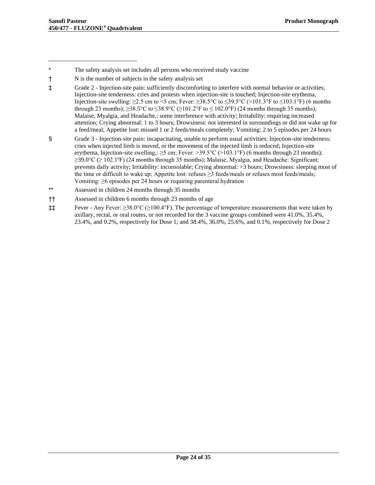‡‡ Fever - Any Fever: ≥38.0°C (≥100.4°F). The percentage of temperature measurements that were taken by axillary, rectal, or oral routes, or not recorded for the 3 vaccine groups combined were 41.0%, 35.4%, 23.4%, and 0.2%, respectively for Dose 1; and 38.4%, 36.0%, 25.6%, and 0.1%, respectively for Dose 2

<sup>\*</sup> The safety analysis set includes all persons who received study vaccine

<sup>†</sup> N is the number of subjects in the safety analysis set

<sup>‡</sup> Grade 2 - Injection-site pain: sufficiently discomforting to interfere with normal behavior or activities; Injection-site tenderness: cries and protests when injection-site is touched; Injection-site erythema, Injection-site swelling:  $\geq$ 2.5 cm to <5 cm; Fever:  $\geq$ 38.5°C to  $\leq$ 39.5°C (>101.3°F to  $\leq$ 103.1°F) (6 months through 23 months);  $\geq 38.5^{\circ}$ C to  $\leq 38.9^{\circ}$ C ( $\geq 101.2^{\circ}$ F to  $\leq 102.0^{\circ}$ F) (24 months through 35 months); Malaise, Myalgia, and Headache,: some interference with activity; Irritability: requiring increased attention; Crying abnormal: 1 to 3 hours; Drowsiness: not interested in surroundings or did not wake up for a feed/meal; Appetite lost: missed 1 or 2 feeds/meals completely; Vomiting: 2 to 5 episodes per 24 hours

<sup>§</sup> Grade 3 - Injection-site pain: incapacitating, unable to perform usual activities; Injection-site tenderness: cries when injected limb is moved, or the movement of the injected limb is reduced; Injection-site erythema, Injection-site swelling,:  $\geq$ 5 cm; Fever:  $>$ 39.5 $\degree$ C ( $>$ 103.1 $\degree$ F) (6 months through 23 months);  $≥39.0$ °C ( $≥102.1$ °F) (24 months through 35 months); Malaise, Myalgia, and Headache: Significant; prevents daily activity; Irritability: inconsolable; Crying abnormal: >3 hours; Drowsiness: sleeping most of the time or difficult to wake up; Appetite lost: refuses  $\geq$ 3 feeds/meals or refuses most feeds/meals; Vomiting: ≥6 episodes per 24 hours or requiring parenteral hydration

<sup>\*\*</sup> Assessed in children 24 months through 35 months

<sup>††</sup> Assessed in children 6 months through 23 months of age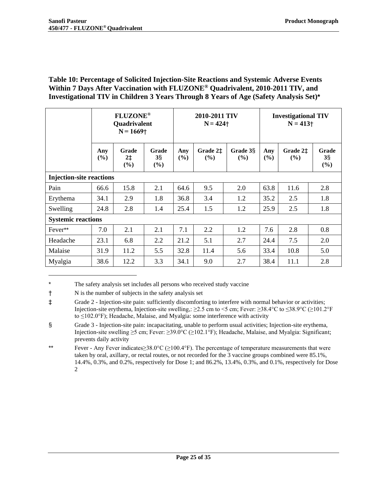### <span id="page-24-0"></span>**Table 10: Percentage of Solicited Injection-Site Reactions and Systemic Adverse Events Within 7 Days After Vaccination with FLUZONE® Quadrivalent, 2010-2011 TIV, and Investigational TIV in Children 3 Years Through 8 Years of Age (Safety Analysis Set)\***

|                                 | <b>FLUZONE®</b><br><b>Quadrivalent</b><br>$N = 1669$ <sup>+</sup> |                      |                                   | 2010-2011 TIV<br>$N = 424$ + |                    |                                | <b>Investigational TIV</b><br>$N = 413$ + |                    |                          |  |
|---------------------------------|-------------------------------------------------------------------|----------------------|-----------------------------------|------------------------------|--------------------|--------------------------------|-------------------------------------------|--------------------|--------------------------|--|
|                                 | Any<br>(%)                                                        | Grade<br>$2+$<br>(%) | Grade<br>$3\frac{5}{3}$<br>$(\%)$ | Any<br>(%)                   | Grade 2‡<br>$(\%)$ | Grade 3 <sub>S</sub><br>$(\%)$ | Any<br>(%)                                | Grade 2‡<br>$(\%)$ | Grade<br>$3\S$<br>$(\%)$ |  |
| <b>Injection-site reactions</b> |                                                                   |                      |                                   |                              |                    |                                |                                           |                    |                          |  |
| Pain                            | 66.6                                                              | 15.8                 | 2.1                               | 64.6                         | 9.5                | 2.0                            | 63.8                                      | 11.6               | 2.8                      |  |
| Erythema                        | 34.1                                                              | 2.9                  | 1.8                               | 36.8                         | 3.4                | 1.2                            | 35.2                                      | 2.5                | 1.8                      |  |
| Swelling                        | 24.8                                                              | 2.8                  | 1.4                               | 25.4                         | 1.5                | 1.2                            | 25.9                                      | 2.5                | 1.8                      |  |
| <b>Systemic reactions</b>       |                                                                   |                      |                                   |                              |                    |                                |                                           |                    |                          |  |
| Fever**                         | 7.0                                                               | 2.1                  | 2.1                               | 7.1                          | 2.2                | 1.2                            | 7.6                                       | 2.8                | 0.8                      |  |
| Headache                        | 23.1                                                              | 6.8                  | 2.2                               | 21.2                         | 5.1                | 2.7                            | 24.4                                      | 7.5                | 2.0                      |  |
| Malaise                         | 31.9                                                              | 11.2                 | 5.5                               | 32.8                         | 11.4               | 5.6                            | 33.4                                      | 10.8               | 5.0                      |  |
| Myalgia                         | 38.6                                                              | 12.2                 | 3.3                               | 34.1                         | 9.0                | 2.7                            | 38.4                                      | 11.1               | 2.8                      |  |

<sup>\*</sup> The safety analysis set includes all persons who received study vaccine

<sup>†</sup> N is the number of subjects in the safety analysis set

<sup>‡</sup> Grade 2 - Injection-site pain: sufficiently discomforting to interfere with normal behavior or activities; Injection-site erythema, Injection-site swelling,: ≥2.5 cm to <5 cm; Fever: ≥38.4°C to ≤38.9°C (≥101.2°F to ≤102.0°F); Headache, Malaise, and Myalgia: some interference with activity

<sup>§</sup> Grade 3 - Injection-site pain: incapacitating, unable to perform usual activities; Injection-site erythema, Injection-site swelling ≥5 cm; Fever: ≥39.0°C (≥102.1°F); Headache, Malaise, and Myalgia: Significant; prevents daily activity

<sup>\*\*</sup> Fever - Any Fever indicates≥38.0°C (≥100.4°F). The percentage of temperature measurements that were taken by oral, axillary, or rectal routes, or not recorded for the 3 vaccine groups combined were 85.1%, 14.4%, 0.3%, and 0.2%, respectively for Dose 1; and 86.2%, 13.4%, 0.3%, and 0.1%, respectively for Dose 2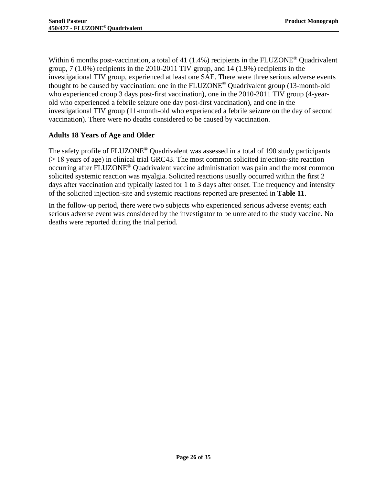Within 6 months post-vaccination, a total of 41 (1.4%) recipients in the FLUZONE<sup>®</sup> Quadrivalent group,  $7(1.0\%)$  recipients in the 2010-2011 TIV group, and 14 (1.9%) recipients in the investigational TIV group, experienced at least one SAE. There were three serious adverse events thought to be caused by vaccination: one in the  $FLUZONE^{\circledcirc}$  Quadrivalent group (13-month-old who experienced croup 3 days post-first vaccination), one in the 2010-2011 TIV group (4-yearold who experienced a febrile seizure one day post-first vaccination), and one in the investigational TIV group (11-month-old who experienced a febrile seizure on the day of second vaccination). There were no deaths considered to be caused by vaccination.

## <span id="page-25-0"></span>**Adults 18 Years of Age and Older**

The safety profile of FLUZONE<sup>®</sup> Quadrivalent was assessed in a total of 190 study participants  $(\geq 18$  years of age) in clinical trial GRC43. The most common solicited injection-site reaction occurring after FLUZONE® Quadrivalent vaccine administration was pain and the most common solicited systemic reaction was myalgia. Solicited reactions usually occurred within the first 2 days after vaccination and typically lasted for 1 to 3 days after onset. The frequency and intensity of the solicited injection-site and systemic reactions reported are presented in **[Table 11](#page-26-1)**.

In the follow-up period, there were two subjects who experienced serious adverse events; each serious adverse event was considered by the investigator to be unrelated to the study vaccine. No deaths were reported during the trial period.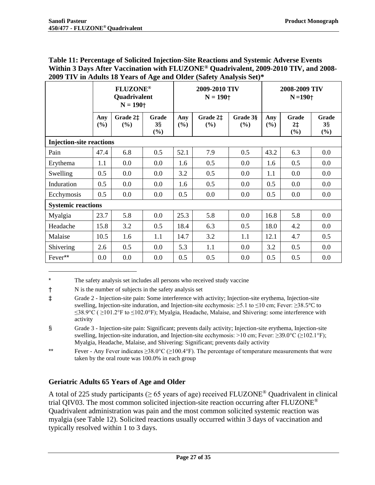|                                 | <b>FLUZONE®</b><br><b>Quadrivalent</b><br>$N = 190 +$ |                 |                       |            | 2009-2010 TIV<br>$N = 190 +$ |                 | 2008-2009 TIV<br>$N = 190 +$ |                             |                          |
|---------------------------------|-------------------------------------------------------|-----------------|-----------------------|------------|------------------------------|-----------------|------------------------------|-----------------------------|--------------------------|
|                                 | Any<br>(%)                                            | Grade 2‡<br>(%) | Grade<br>$3\S$<br>(%) | Any<br>(%) | Grade 2‡<br>(%)              | Grade 3§<br>(%) | Any<br>(%)                   | <b>Grade</b><br>$2+$<br>(%) | Grade<br>$3\S$<br>$(\%)$ |
| <b>Injection-site reactions</b> |                                                       |                 |                       |            |                              |                 |                              |                             |                          |
| Pain                            | 47.4                                                  | 6.8             | 0.5                   | 52.1       | 7.9                          | 0.5             | 43.2                         | 6.3                         | 0.0                      |
| Erythema                        | 1.1                                                   | 0.0             | 0.0                   | 1.6        | 0.5                          | 0.0             | 1.6                          | 0.5                         | 0.0                      |
| Swelling                        | 0.5                                                   | 0.0             | 0.0                   | 3.2        | 0.5                          | 0.0             | 1.1                          | 0.0                         | 0.0                      |
| Induration                      | 0.5                                                   | 0.0             | 0.0                   | 1.6        | 0.5                          | 0.0             | 0.5                          | 0.0                         | 0.0                      |
| Ecchymosis                      | 0.5                                                   | 0.0             | 0.0                   | 0.5        | 0.0                          | 0.0             | 0.5                          | 0.0                         | 0.0                      |
| <b>Systemic reactions</b>       |                                                       |                 |                       |            |                              |                 |                              |                             |                          |
| Myalgia                         | 23.7                                                  | 5.8             | 0.0                   | 25.3       | 5.8                          | 0.0             | 16.8                         | 5.8                         | 0.0                      |
| Headache                        | 15.8                                                  | 3.2             | 0.5                   | 18.4       | 6.3                          | 0.5             | 18.0                         | 4.2                         | 0.0                      |
| Malaise                         | 10.5                                                  | 1.6             | 1.1                   | 14.7       | 3.2                          | 1.1             | 12.1                         | 4.7                         | 0.5                      |
| Shivering                       | 2.6                                                   | 0.5             | 0.0                   | 5.3        | 1.1                          | 0.0             | 3.2                          | 0.5                         | 0.0                      |
| Fever**                         | 0.0                                                   | 0.0             | 0.0                   | 0.5        | 0.5                          | 0.0             | 0.5                          | 0.5                         | 0.0                      |

#### <span id="page-26-1"></span>**Table 11: Percentage of Solicited Injection-Site Reactions and Systemic Adverse Events Within 3 Days After Vaccination with FLUZONE® Quadrivalent, 2009-2010 TIV, and 2008- 2009 TIV in Adults 18 Years of Age and Older (Safety Analysis Set)\***

† N is the number of subjects in the safety analysis set

#### <span id="page-26-0"></span>**Geriatric Adults 65 Years of Age and Older**

A total of 225 study participants ( $\geq$  65 years of age) received FLUZONE<sup>®</sup> Quadrivalent in clinical trial QIV03. The most common solicited injection-site reaction occurring after FLUZONE<sup>®</sup> Quadrivalent administration was pain and the most common solicited systemic reaction was myalgia (see [Table 12\)](#page-27-1). Solicited reactions usually occurred within 3 days of vaccination and typically resolved within 1 to 3 days.

The safety analysis set includes all persons who received study vaccine

<sup>‡</sup> Grade 2 - Injection-site pain: Some interference with activity; Injection-site erythema, Injection-site swelling, Injection-site induration, and Injection-site ecchymosis: ≥5.1 to ≤10 cm; Fever: ≥38.5°C to  $≤38.9°C$  ( $≥101.2°F$  to  $≤102.0°F$ ); Myalgia, Headache, Malaise, and Shivering: some interference with activity

<sup>§</sup> Grade 3 - Injection-site pain: Significant; prevents daily activity; Injection-site erythema, Injection-site swelling, Injection-site induration, and Injection-site ecchymosis: >10 cm; Fever: ≥39.0°C (≥102.1°F); Myalgia, Headache, Malaise, and Shivering: Significant; prevents daily activity

<sup>\*\*</sup> Fever - Any Fever indicates  $\geq 38.0^{\circ}C$  ( $\geq 100.4^{\circ}F$ ). The percentage of temperature measurements that were taken by the oral route was 100.0% in each group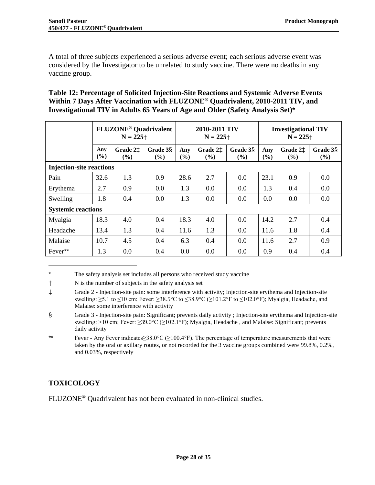A total of three subjects experienced a serious adverse event; each serious adverse event was considered by the Investigator to be unrelated to study vaccine. There were no deaths in any vaccine group.

### <span id="page-27-1"></span>**Table 12: Percentage of Solicited Injection-Site Reactions and Systemic Adverse Events Within 7 Days After Vaccination with FLUZONE® Quadrivalent, 2010-2011 TIV, and Investigational TIV in Adults 65 Years of Age and Older (Safety Analysis Set)\***

|                                 | <b>FLUZONE<sup>®</sup> Quadrivalent</b><br>$N = 225 +$ |                    |                    | 2010-2011 TIV<br>$N = 225$ <sup>+</sup> |                                       |                                       | <b>Investigational TIV</b><br>$N = 225$ † |                    |                    |
|---------------------------------|--------------------------------------------------------|--------------------|--------------------|-----------------------------------------|---------------------------------------|---------------------------------------|-------------------------------------------|--------------------|--------------------|
|                                 | Any<br>$($ %)                                          | Grade 2‡<br>$($ %) | Grade 3§<br>$($ %) | Any<br>$($ %)                           | Grade 2 <sup>±</sup><br>$\frac{9}{6}$ | Grade 3 <sub>S</sub><br>$\frac{6}{6}$ | Any<br>$\frac{6}{6}$                      | Grade 2‡<br>$($ %) | Grade 3§<br>$(\%)$ |
| <b>Injection-site reactions</b> |                                                        |                    |                    |                                         |                                       |                                       |                                           |                    |                    |
| Pain                            | 32.6                                                   | 1.3                | 0.9                | 28.6                                    | 2.7                                   | 0.0                                   | 23.1                                      | 0.9                | 0.0                |
| Erythema                        | 2.7                                                    | 0.9                | 0.0                | 1.3                                     | 0.0                                   | 0.0                                   | 1.3                                       | 0.4                | 0.0                |
| Swelling                        | 1.8                                                    | 0.4                | 0.0                | 1.3                                     | 0.0                                   | 0.0                                   | 0.0                                       | 0.0                | 0.0                |
| <b>Systemic reactions</b>       |                                                        |                    |                    |                                         |                                       |                                       |                                           |                    |                    |
| Myalgia                         | 18.3                                                   | 4.0                | 0.4                | 18.3                                    | 4.0                                   | 0.0                                   | 14.2                                      | 2.7                | 0.4                |
| Headache                        | 13.4                                                   | 1.3                | 0.4                | 11.6                                    | 1.3                                   | 0.0                                   | 11.6                                      | 1.8                | 0.4                |
| Malaise                         | 10.7                                                   | 4.5                | 0.4                | 6.3                                     | 0.4                                   | 0.0                                   | 11.6                                      | 2.7                | 0.9                |
| Fever**                         | 1.3                                                    | 0.0                | 0.4                | 0.0                                     | 0.0                                   | 0.0                                   | 0.9                                       | 0.4                | 0.4                |

<sup>\*</sup> The safety analysis set includes all persons who received study vaccine

## <span id="page-27-0"></span>**TOXICOLOGY**

FLUZONE® Quadrivalent has not been evaluated in non-clinical studies.

<sup>†</sup> N is the number of subjects in the safety analysis set

<sup>‡</sup> Grade 2 - Injection-site pain: some interference with activity; Injection-site erythema and Injection-site swelling: ≥5.1 to ≤10 cm; Fever: ≥38.5°C to ≤38.9°C (≥101.2°F to ≤102.0°F); Myalgia, Headache, and Malaise: some interference with activity

<sup>§</sup> Grade 3 - Injection-site pain: Significant; prevents daily activity ; Injection-site erythema and Injection-site swelling: >10 cm; Fever: ≥39.0°C (≥102.1°F); Myalgia, Headache, and Malaise: Significant; prevents daily activity

<sup>\*\*</sup> Fever - Any Fever indicates≥38.0°C (≥100.4°F). The percentage of temperature measurements that were taken by the oral or axillary routes, or not recorded for the 3 vaccine groups combined were 99.8%, 0.2%, and 0.03%, respectively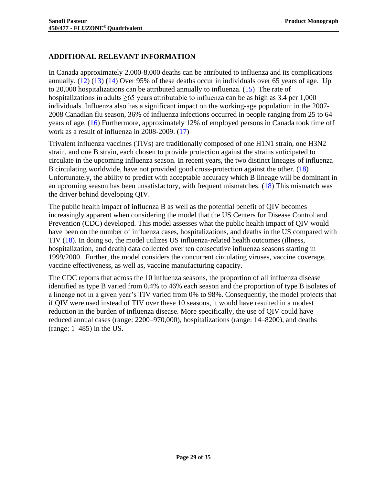## <span id="page-28-0"></span>**ADDITIONAL RELEVANT INFORMATION**

In Canada approximately 2,000-8,000 deaths can be attributed to influenza and its complications annually. [\(12\)](#page-29-12) [\(13\)](#page-29-13) [\(14\)](#page-29-14) Over 95% of these deaths occur in individuals over 65 years of age. Up to 20,000 hospitalizations can be attributed annually to influenza. [\(15\)](#page-29-15) The rate of hospitalizations in adults  $\geq 65$  years attributable to influenza can be as high as 3.4 per 1,000 individuals. Influenza also has a significant impact on the working-age population: in the 2007- 2008 Canadian flu season, 36% of influenza infections occurred in people ranging from 25 to 64 years of age. [\(16\)](#page-30-0) Furthermore, approximately 12% of employed persons in Canada took time off work as a result of influenza in 2008-2009. [\(17\)](#page-30-1)

Trivalent influenza vaccines (TIVs) are traditionally composed of one H1N1 strain, one H3N2 strain, and one B strain, each chosen to provide protection against the strains anticipated to circulate in the upcoming influenza season. In recent years, the two distinct lineages of influenza B circulating worldwide, have not provided good cross-protection against the other. [\(18\)](#page-30-2) Unfortunately, the ability to predict with acceptable accuracy which B lineage will be dominant in an upcoming season has been unsatisfactory, with frequent mismatches. [\(18\)](#page-30-2) This mismatch was the driver behind developing QIV.

The public health impact of influenza B as well as the potential benefit of QIV becomes increasingly apparent when considering the model that the US Centers for Disease Control and Prevention (CDC) developed. This model assesses what the public health impact of QIV would have been on the number of influenza cases, hospitalizations, and deaths in the US compared with TIV [\(18\).](#page-30-2) In doing so, the model utilizes US influenza-related health outcomes (illness, hospitalization, and death) data collected over ten consecutive influenza seasons starting in 1999/2000. Further, the model considers the concurrent circulating viruses, vaccine coverage, vaccine effectiveness, as well as, vaccine manufacturing capacity.

The CDC reports that across the 10 influenza seasons, the proportion of all influenza disease identified as type B varied from 0.4% to 46% each season and the proportion of type B isolates of a lineage not in a given year's TIV varied from 0% to 98%. Consequently, the model projects that if QIV were used instead of TIV over these 10 seasons, it would have resulted in a modest reduction in the burden of influenza disease. More specifically, the use of QIV could have reduced annual cases (range: 2200–970,000), hospitalizations (range: 14–8200), and deaths (range:  $1-485$ ) in the US.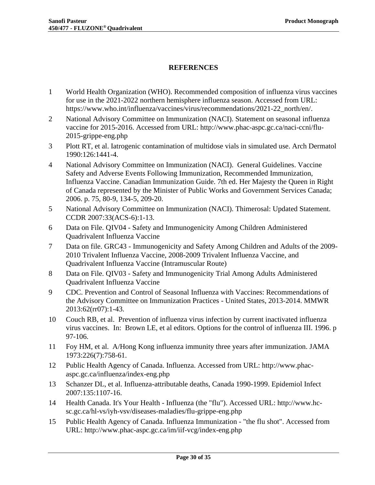## <span id="page-29-0"></span>**REFERENCES**

- <span id="page-29-1"></span>1 World Health Organization (WHO). Recommended composition of influenza virus vaccines for use in the 2021-2022 northern hemisphere influenza season. Accessed from URL: https://www.who.int/influenza/vaccines/virus/recommendations/2021-22\_north/en/.
- <span id="page-29-2"></span>2 National Advisory Committee on Immunization (NACI). Statement on seasonal influenza vaccine for 2015-2016. Accessed from URL: http://www.phac-aspc.gc.ca/naci-ccni/flu-2015-grippe-eng.php
- <span id="page-29-3"></span>3 Plott RT, et al. Iatrogenic contamination of multidose vials in simulated use. Arch Dermatol 1990:126:1441-4.
- <span id="page-29-4"></span>4 National Advisory Committee on Immunization (NACI). General Guidelines. Vaccine Safety and Adverse Events Following Immunization, Recommended Immunization, Influenza Vaccine. Canadian Immunization Guide. 7th ed. Her Majesty the Queen in Right of Canada represented by the Minister of Public Works and Government Services Canada; 2006. p. 75, 80-9, 134-5, 209-20.
- <span id="page-29-5"></span>5 National Advisory Committee on Immunization (NACI). Thimerosal: Updated Statement. CCDR 2007:33(ACS-6):1-13.
- <span id="page-29-6"></span>6 Data on File. QIV04 - Safety and Immunogenicity Among Children Administered Quadrivalent Influenza Vaccine
- <span id="page-29-7"></span>7 Data on file. GRC43 - Immunogenicity and Safety Among Children and Adults of the 2009- 2010 Trivalent Influenza Vaccine, 2008-2009 Trivalent Influenza Vaccine, and Quadrivalent Influenza Vaccine (Intramuscular Route)
- <span id="page-29-8"></span>8 Data on File. QIV03 - Safety and Immunogenicity Trial Among Adults Administered Quadrivalent Influenza Vaccine
- <span id="page-29-9"></span>9 CDC. Prevention and Control of Seasonal Influenza with Vaccines: Recommendations of the Advisory Committee on Immunization Practices - United States, 2013-2014. MMWR 2013:62(rr07):1-43.
- <span id="page-29-10"></span>10 Couch RB, et al. Prevention of influenza virus infection by current inactivated influenza virus vaccines. In: Brown LE, et al editors. Options for the control of influenza III. 1996. p 97-106.
- <span id="page-29-11"></span>11 Foy HM, et al. A/Hong Kong influenza immunity three years after immunization. JAMA 1973:226(7):758-61.
- <span id="page-29-12"></span>12 Public Health Agency of Canada. Influenza. Accessed from URL: http://www.phacaspc.gc.ca/influenza/index-eng.php
- <span id="page-29-13"></span>13 Schanzer DL, et al. Influenza-attributable deaths, Canada 1990-1999. Epidemiol Infect 2007:135:1107-16.
- <span id="page-29-14"></span>14 Health Canada. It's Your Health - Influenza (the "flu"). Accessed URL: http://www.hcsc.gc.ca/hl-vs/iyh-vsv/diseases-maladies/flu-grippe-eng.php
- <span id="page-29-15"></span>15 Public Health Agency of Canada. Influenza Immunization - "the flu shot". Accessed from URL: http://www.phac-aspc.gc.ca/im/iif-vcg/index-eng.php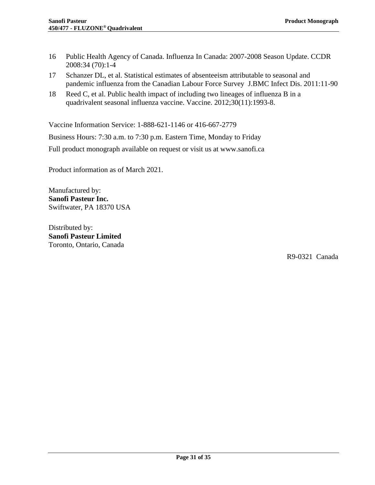- <span id="page-30-0"></span>16 Public Health Agency of Canada. Influenza In Canada: 2007-2008 Season Update. CCDR 2008:34 (70):1-4
- <span id="page-30-1"></span>17 Schanzer DL, et al. Statistical estimates of absenteeism attributable to seasonal and pandemic influenza from the Canadian Labour Force Survey J.BMC Infect Dis. 2011:11-90
- <span id="page-30-2"></span>18 Reed C, et al. Public health impact of including two lineages of influenza B in a quadrivalent seasonal influenza vaccine. Vaccine. 2012;30(11):1993-8.

Vaccine Information Service: 1-888-621-1146 or 416-667-2779

Business Hours: 7:30 a.m. to 7:30 p.m. Eastern Time, Monday to Friday

Full product monograph available on request or visit us at www.sanofi.ca

Product information as of March 2021.

Manufactured by: **Sanofi Pasteur Inc.** Swiftwater, PA 18370 USA

Distributed by: **Sanofi Pasteur Limited** Toronto, Ontario, Canada

R9-0321 Canada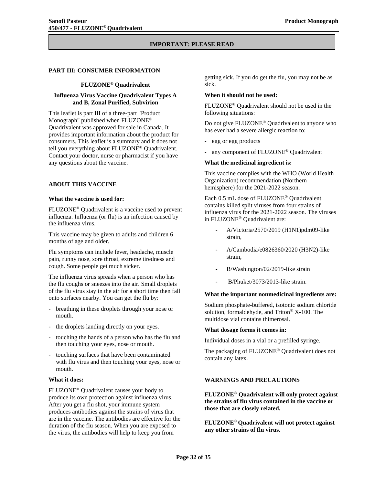#### **IMPORTANT: PLEASE READ**

#### <span id="page-31-0"></span>**PART III: CONSUMER INFORMATION**

#### **FLUZONE® Quadrivalent**

#### **Influenza Virus Vaccine Quadrivalent Types A and B, Zonal Purified, Subvirion**

This leaflet is part III of a three-part "Product Monograph" published when FLUZONE® Quadrivalent was approved for sale in Canada. It provides important information about the product for consumers. This leaflet is a summary and it does not tell you everything about FLUZONE® Quadrivalent. Contact your doctor, nurse or pharmacist if you have any questions about the vaccine.

#### <span id="page-31-1"></span>**ABOUT THIS VACCINE**

#### **What the vaccine is used for:**

FLUZONE® Quadrivalent is a vaccine used to prevent influenza. Influenza (or flu) is an infection caused by the influenza virus.

This vaccine may be given to adults and children 6 months of age and older.

Flu symptoms can include fever, headache, muscle pain, runny nose, sore throat, extreme tiredness and cough. Some people get much sicker.

The influenza virus spreads when a person who has the flu coughs or sneezes into the air. Small droplets of the flu virus stay in the air for a short time then fall onto surfaces nearby. You can get the flu by:

- breathing in these droplets through your nose or mouth.
- the droplets landing directly on your eyes.
- touching the hands of a person who has the flu and then touching your eyes, nose or mouth.
- touching surfaces that have been contaminated with flu virus and then touching your eyes, nose or mouth.

#### **What it does:**

FLUZONE® Quadrivalent causes your body to produce its own protection against influenza virus. After you get a flu shot, your immune system produces antibodies against the strains of virus that are in the vaccine. The antibodies are effective for the duration of the flu season. When you are exposed to the virus, the antibodies will help to keep you from

getting sick. If you do get the flu, you may not be as sick.

#### **When it should not be used:**

FLUZONE® Quadrivalent should not be used in the following situations:

Do not give FLUZONE® Quadrivalent to anyone who has ever had a severe allergic reaction to:

- egg or egg products
- any component of FLUZONE® Quadrivalent

#### **What the medicinal ingredient is:**

This vaccine complies with the WHO (World Health Organization) recommendation (Northern hemisphere) for the 2021-2022 season.

Each 0.5 mL dose of FLUZONE® Quadrivalent contains killed split viruses from four strains of influenza virus for the 2021-2022 season. The viruses in FLUZONE® Quadrivalent are:

- A/Victoria/2570/2019 (H1N1)pdm09-like strain,
- A/Cambodia/e0826360/2020 (H3N2)-like strain,
- B/Washington/02/2019-like strain
- B/Phuket/3073/2013-like strain.

#### **What the important nonmedicinal ingredients are:**

Sodium phosphate-buffered, isotonic sodium chloride solution, formaldehyde, and Triton® X-100. The multidose vial contains thimerosal.

#### **What dosage forms it comes in:**

Individual doses in a vial or a prefilled syringe.

<span id="page-31-2"></span>The packaging of FLUZONE® Quadrivalent does not contain any latex.

#### **WARNINGS AND PRECAUTIONS**

**FLUZONE® Quadrivalent will only protect against the strains of flu virus contained in the vaccine or those that are closely related.**

**FLUZONE® Quadrivalent will not protect against any other strains of flu virus.**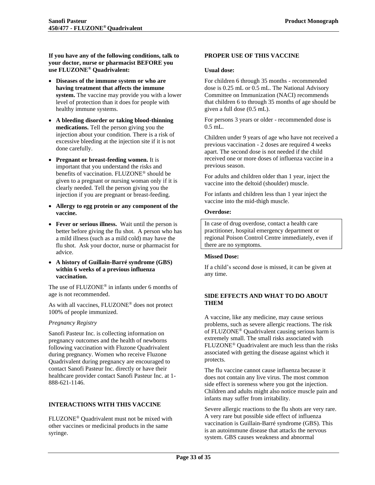**If you have any of the following conditions, talk to your doctor, nurse or pharmacist BEFORE you use FLUZONE® Quadrivalent:**

- **Diseases of the immune system or who are having treatment that affects the immune system.** The vaccine may provide you with a lower level of protection than it does for people with healthy immune systems.
- **A bleeding disorder or taking blood-thinning medications.** Tell the person giving you the injection about your condition. There is a risk of excessive bleeding at the injection site if it is not done carefully.
- **Pregnant or breast-feeding women.** It is important that you understand the risks and benefits of vaccination. FLUZONE® should be given to a pregnant or nursing woman only if it is clearly needed. Tell the person giving you the injection if you are pregnant or breast-feeding.
- **Allergy to egg protein or any component of the vaccine.**
- **Fever or serious illness.** Wait until the person is better before giving the flu shot. A person who has a mild illness (such as a mild cold) may have the flu shot. Ask your doctor, nurse or pharmacist for advice.
- **A history of Guillain-Barré syndrome (GBS) within 6 weeks of a previous influenza vaccination.**

The use of FLUZONE® in infants under 6 months of age is not recommended.

As with all vaccines, FLUZONE® does not protect 100% of people immunized.

#### *Pregnancy Registry*

Sanofi Pasteur Inc. is collecting information on pregnancy outcomes and the health of newborns following vaccination with Fluzone Quadrivalent during pregnancy. Women who receive Fluzone Quadrivalent during pregnancy are encouraged to contact Sanofi Pasteur Inc. directly or have their healthcare provider contact Sanofi Pasteur Inc. at 1- 888-621-1146.

#### <span id="page-32-0"></span>**INTERACTIONS WITH THIS VACCINE**

FLUZONE® Quadrivalent must not be mixed with other vaccines or medicinal products in the same syringe.

#### <span id="page-32-1"></span>**PROPER USE OF THIS VACCINE**

#### **Usual dose:**

For children 6 through 35 months - recommended dose is 0.25 mL or 0.5 mL. The National Advisory Committee on Immunization (NACI) recommends that children 6 to through 35 months of age should be given a full dose (0.5 mL).

For persons 3 years or older - recommended dose is 0.5 mL.

Children under 9 years of age who have not received a previous vaccination - 2 doses are required 4 weeks apart. The second dose is not needed if the child received one or more doses of influenza vaccine in a previous season.

For adults and children older than 1 year, inject the vaccine into the deltoid (shoulder) muscle.

For infants and children less than 1 year inject the vaccine into the mid-thigh muscle.

#### **Overdose:**

In case of drug overdose, contact a health care practitioner, hospital emergency department or regional Poison Control Centre immediately, even if there are no symptoms.

#### **Missed Dose:**

<span id="page-32-2"></span>If a child's second dose is missed, it can be given at any time.

#### **SIDE EFFECTS AND WHAT TO DO ABOUT THEM**

A vaccine, like any medicine, may cause serious problems, such as severe allergic reactions. The risk of FLUZONE® Quadrivalent causing serious harm is extremely small. The small risks associated with FLUZONE® Quadrivalent are much less than the risks associated with getting the disease against which it protects.

The flu vaccine cannot cause influenza because it does not contain any live virus. The most common side effect is soreness where you got the injection. Children and adults might also notice muscle pain and infants may suffer from irritability.

Severe allergic reactions to the flu shots are very rare. A very rare but possible side effect of influenza vaccination is Guillain-Barré syndrome (GBS). This is an autoimmune disease that attacks the nervous system. GBS causes weakness and abnormal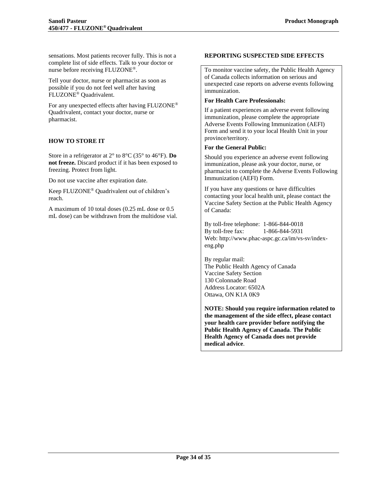sensations. Most patients recover fully. This is not a complete list of side effects. Talk to your doctor or nurse before receiving FLUZONE®.

Tell your doctor, nurse or pharmacist as soon as possible if you do not feel well after having FLUZONE® Quadrivalent.

For any unexpected effects after having FLUZONE® Quadrivalent, contact your doctor, nurse or pharmacist.

#### <span id="page-33-0"></span>**HOW TO STORE IT**

Store in a refrigerator at 2° to 8°C (35° to 46°F). **Do not freeze.** Discard product if it has been exposed to freezing. Protect from light.

Do not use vaccine after expiration date.

Keep FLUZONE® Quadrivalent out of children's reach.

A maximum of 10 total doses (0.25 mL dose or 0.5 mL dose) can be withdrawn from the multidose vial.

#### <span id="page-33-1"></span>**REPORTING SUSPECTED SIDE EFFECTS**

To monitor vaccine safety, the Public Health Agency of Canada collects information on serious and unexpected case reports on adverse events following immunization.

#### **For Health Care Professionals:**

If a patient experiences an adverse event following immunization, please complete the appropriate Adverse Events Following Immunization (AEFI) Form and send it to your local Health Unit in your province/territory.

#### **For the General Public:**

Should you experience an adverse event following immunization, please ask your doctor, nurse, or pharmacist to complete the Adverse Events Following Immunization (AEFI) Form.

If you have any questions or have difficulties contacting your local health unit, please contact the Vaccine Safety Section at the Public Health Agency of Canada:

By toll-free telephone: 1-866-844-0018 By toll-free fax: 1-866-844-5931 Web: http://www.phac-aspc.gc.ca/im/vs-sv/indexeng.php

By regular mail: The Public Health Agency of Canada Vaccine Safety Section 130 Colonnade Road Address Locator: 6502A Ottawa, ON K1A 0K9

**NOTE: Should you require information related to the management of the side effect, please contact your health care provider before notifying the Public Health Agency of Canada**. **The Public Health Agency of Canada does not provide medical advice**.